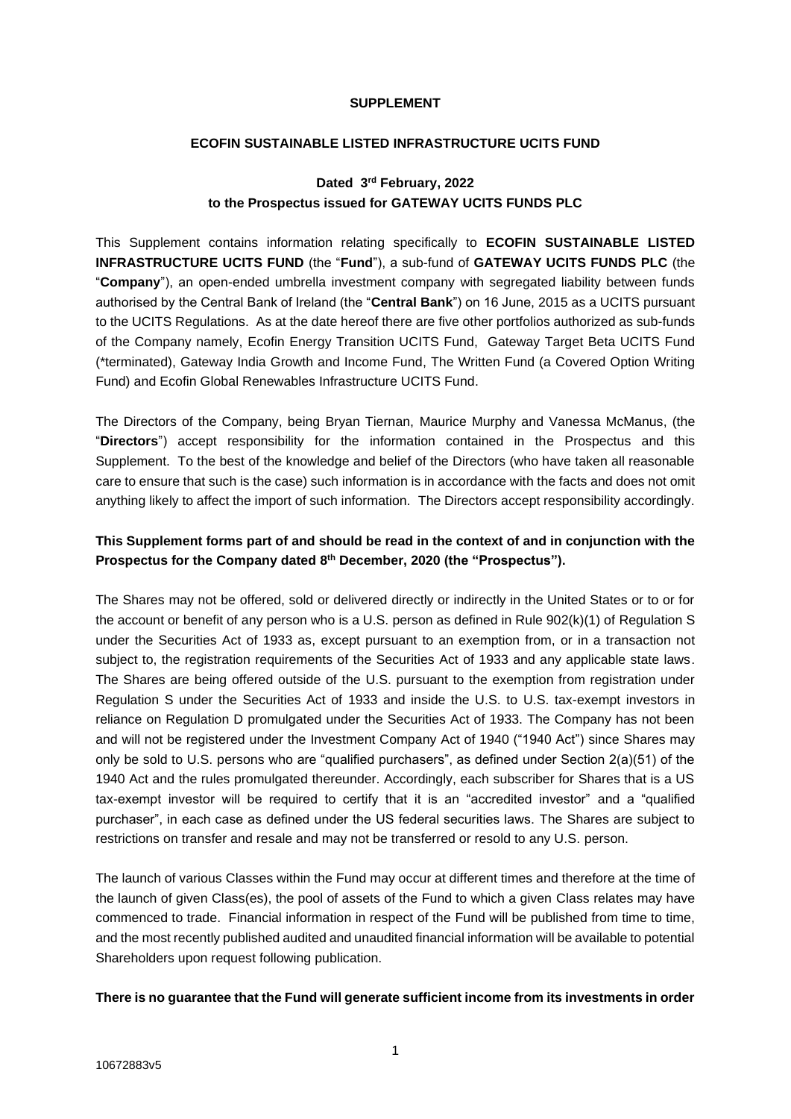#### **SUPPLEMENT**

#### **ECOFIN SUSTAINABLE LISTED INFRASTRUCTURE UCITS FUND**

# **Dated 3 rd February, 2022 to the Prospectus issued for GATEWAY UCITS FUNDS PLC**

This Supplement contains information relating specifically to **ECOFIN SUSTAINABLE LISTED INFRASTRUCTURE UCITS FUND** (the "**Fund**"), a sub-fund of **GATEWAY UCITS FUNDS PLC** (the "**Company**"), an open-ended umbrella investment company with segregated liability between funds authorised by the Central Bank of Ireland (the "**Central Bank**") on 16 June, 2015 as a UCITS pursuant to the UCITS Regulations. As at the date hereof there are five other portfolios authorized as sub-funds of the Company namely, Ecofin Energy Transition UCITS Fund, Gateway Target Beta UCITS Fund (\*terminated), Gateway India Growth and Income Fund, The Written Fund (a Covered Option Writing Fund) and Ecofin Global Renewables Infrastructure UCITS Fund.

The Directors of the Company, being Bryan Tiernan, Maurice Murphy and Vanessa McManus, (the "**Directors**") accept responsibility for the information contained in the Prospectus and this Supplement. To the best of the knowledge and belief of the Directors (who have taken all reasonable care to ensure that such is the case) such information is in accordance with the facts and does not omit anything likely to affect the import of such information. The Directors accept responsibility accordingly.

# **This Supplement forms part of and should be read in the context of and in conjunction with the**  Prospectus for the Company dated 8<sup>th</sup> December, 2020 (the "Prospectus").

The Shares may not be offered, sold or delivered directly or indirectly in the United States or to or for the account or benefit of any person who is a U.S. person as defined in Rule 902(k)(1) of Regulation S under the Securities Act of 1933 as, except pursuant to an exemption from, or in a transaction not subject to, the registration requirements of the Securities Act of 1933 and any applicable state laws. The Shares are being offered outside of the U.S. pursuant to the exemption from registration under Regulation S under the Securities Act of 1933 and inside the U.S. to U.S. tax-exempt investors in reliance on Regulation D promulgated under the Securities Act of 1933. The Company has not been and will not be registered under the Investment Company Act of 1940 ("1940 Act") since Shares may only be sold to U.S. persons who are "qualified purchasers", as defined under Section 2(a)(51) of the 1940 Act and the rules promulgated thereunder. Accordingly, each subscriber for Shares that is a US tax-exempt investor will be required to certify that it is an "accredited investor" and a "qualified purchaser", in each case as defined under the US federal securities laws. The Shares are subject to restrictions on transfer and resale and may not be transferred or resold to any U.S. person.

The launch of various Classes within the Fund may occur at different times and therefore at the time of the launch of given Class(es), the pool of assets of the Fund to which a given Class relates may have commenced to trade. Financial information in respect of the Fund will be published from time to time, and the most recently published audited and unaudited financial information will be available to potential Shareholders upon request following publication.

## **There is no guarantee that the Fund will generate sufficient income from its investments in order**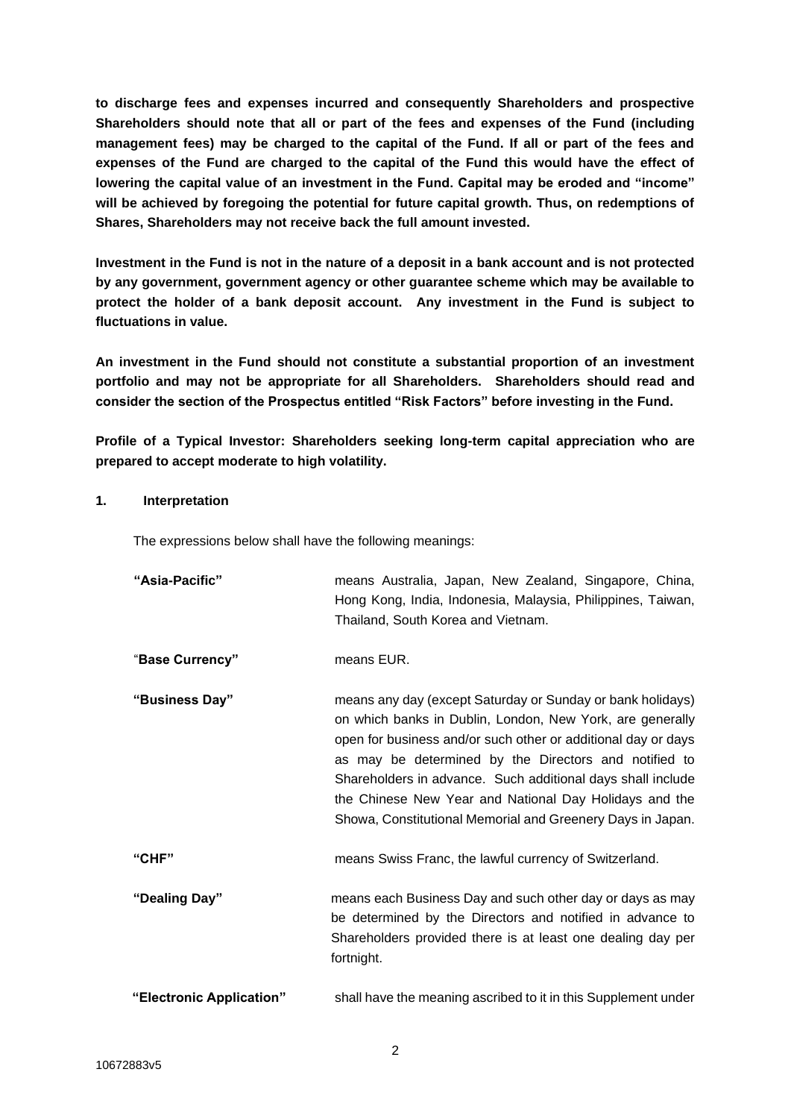**to discharge fees and expenses incurred and consequently Shareholders and prospective Shareholders should note that all or part of the fees and expenses of the Fund (including management fees) may be charged to the capital of the Fund. If all or part of the fees and expenses of the Fund are charged to the capital of the Fund this would have the effect of lowering the capital value of an investment in the Fund. Capital may be eroded and "income" will be achieved by foregoing the potential for future capital growth. Thus, on redemptions of Shares, Shareholders may not receive back the full amount invested.**

**Investment in the Fund is not in the nature of a deposit in a bank account and is not protected by any government, government agency or other guarantee scheme which may be available to protect the holder of a bank deposit account. Any investment in the Fund is subject to fluctuations in value.**

**An investment in the Fund should not constitute a substantial proportion of an investment portfolio and may not be appropriate for all Shareholders. Shareholders should read and consider the section of the Prospectus entitled "Risk Factors" before investing in the Fund.**

**Profile of a Typical Investor: Shareholders seeking long-term capital appreciation who are prepared to accept moderate to high volatility.** 

# **1. Interpretation**

The expressions below shall have the following meanings:

| "Asia-Pacific"           | means Australia, Japan, New Zealand, Singapore, China,<br>Hong Kong, India, Indonesia, Malaysia, Philippines, Taiwan,<br>Thailand, South Korea and Vietnam.                                                                                                                                                                                                                                                                              |
|--------------------------|------------------------------------------------------------------------------------------------------------------------------------------------------------------------------------------------------------------------------------------------------------------------------------------------------------------------------------------------------------------------------------------------------------------------------------------|
| "Base Currency"          | means EUR.                                                                                                                                                                                                                                                                                                                                                                                                                               |
| "Business Day"           | means any day (except Saturday or Sunday or bank holidays)<br>on which banks in Dublin, London, New York, are generally<br>open for business and/or such other or additional day or days<br>as may be determined by the Directors and notified to<br>Shareholders in advance. Such additional days shall include<br>the Chinese New Year and National Day Holidays and the<br>Showa, Constitutional Memorial and Greenery Days in Japan. |
| "CHF"                    | means Swiss Franc, the lawful currency of Switzerland.                                                                                                                                                                                                                                                                                                                                                                                   |
| "Dealing Day"            | means each Business Day and such other day or days as may<br>be determined by the Directors and notified in advance to<br>Shareholders provided there is at least one dealing day per<br>fortnight.                                                                                                                                                                                                                                      |
| "Electronic Application" | shall have the meaning ascribed to it in this Supplement under                                                                                                                                                                                                                                                                                                                                                                           |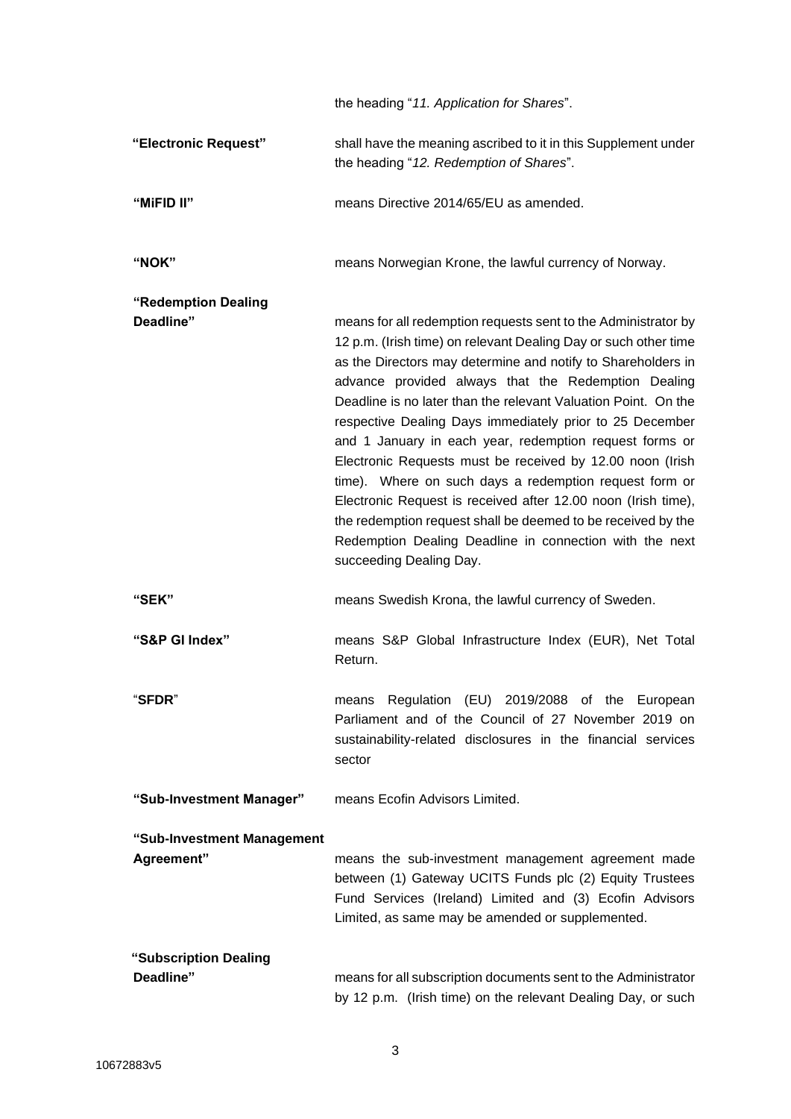|                                          | the heading "11. Application for Shares".                                                                                                                                                                                                                                                                                                                                                                                                                                                                                                                                                                                                                                                                                                                                                       |
|------------------------------------------|-------------------------------------------------------------------------------------------------------------------------------------------------------------------------------------------------------------------------------------------------------------------------------------------------------------------------------------------------------------------------------------------------------------------------------------------------------------------------------------------------------------------------------------------------------------------------------------------------------------------------------------------------------------------------------------------------------------------------------------------------------------------------------------------------|
| "Electronic Request"                     | shall have the meaning ascribed to it in this Supplement under<br>the heading "12. Redemption of Shares".                                                                                                                                                                                                                                                                                                                                                                                                                                                                                                                                                                                                                                                                                       |
| "MiFID II"                               | means Directive 2014/65/EU as amended.                                                                                                                                                                                                                                                                                                                                                                                                                                                                                                                                                                                                                                                                                                                                                          |
| "NOK"                                    | means Norwegian Krone, the lawful currency of Norway.                                                                                                                                                                                                                                                                                                                                                                                                                                                                                                                                                                                                                                                                                                                                           |
| "Redemption Dealing<br>Deadline"         | means for all redemption requests sent to the Administrator by<br>12 p.m. (Irish time) on relevant Dealing Day or such other time<br>as the Directors may determine and notify to Shareholders in<br>advance provided always that the Redemption Dealing<br>Deadline is no later than the relevant Valuation Point. On the<br>respective Dealing Days immediately prior to 25 December<br>and 1 January in each year, redemption request forms or<br>Electronic Requests must be received by 12.00 noon (Irish<br>time). Where on such days a redemption request form or<br>Electronic Request is received after 12.00 noon (Irish time),<br>the redemption request shall be deemed to be received by the<br>Redemption Dealing Deadline in connection with the next<br>succeeding Dealing Day. |
| "SEK"                                    | means Swedish Krona, the lawful currency of Sweden.                                                                                                                                                                                                                                                                                                                                                                                                                                                                                                                                                                                                                                                                                                                                             |
| "S&P GI Index"                           | means S&P Global Infrastructure Index (EUR), Net Total<br>Return.                                                                                                                                                                                                                                                                                                                                                                                                                                                                                                                                                                                                                                                                                                                               |
| "SFDR"                                   | means Regulation (EU) 2019/2088 of the European<br>Parliament and of the Council of 27 November 2019 on<br>sustainability-related disclosures in the financial services<br>sector                                                                                                                                                                                                                                                                                                                                                                                                                                                                                                                                                                                                               |
| "Sub-Investment Manager"                 | means Ecofin Advisors Limited.                                                                                                                                                                                                                                                                                                                                                                                                                                                                                                                                                                                                                                                                                                                                                                  |
| "Sub-Investment Management<br>Agreement" | means the sub-investment management agreement made<br>between (1) Gateway UCITS Funds plc (2) Equity Trustees<br>Fund Services (Ireland) Limited and (3) Ecofin Advisors<br>Limited, as same may be amended or supplemented.                                                                                                                                                                                                                                                                                                                                                                                                                                                                                                                                                                    |
| "Subscription Dealing<br>Deadline"       | means for all subscription documents sent to the Administrator<br>by 12 p.m. (Irish time) on the relevant Dealing Day, or such                                                                                                                                                                                                                                                                                                                                                                                                                                                                                                                                                                                                                                                                  |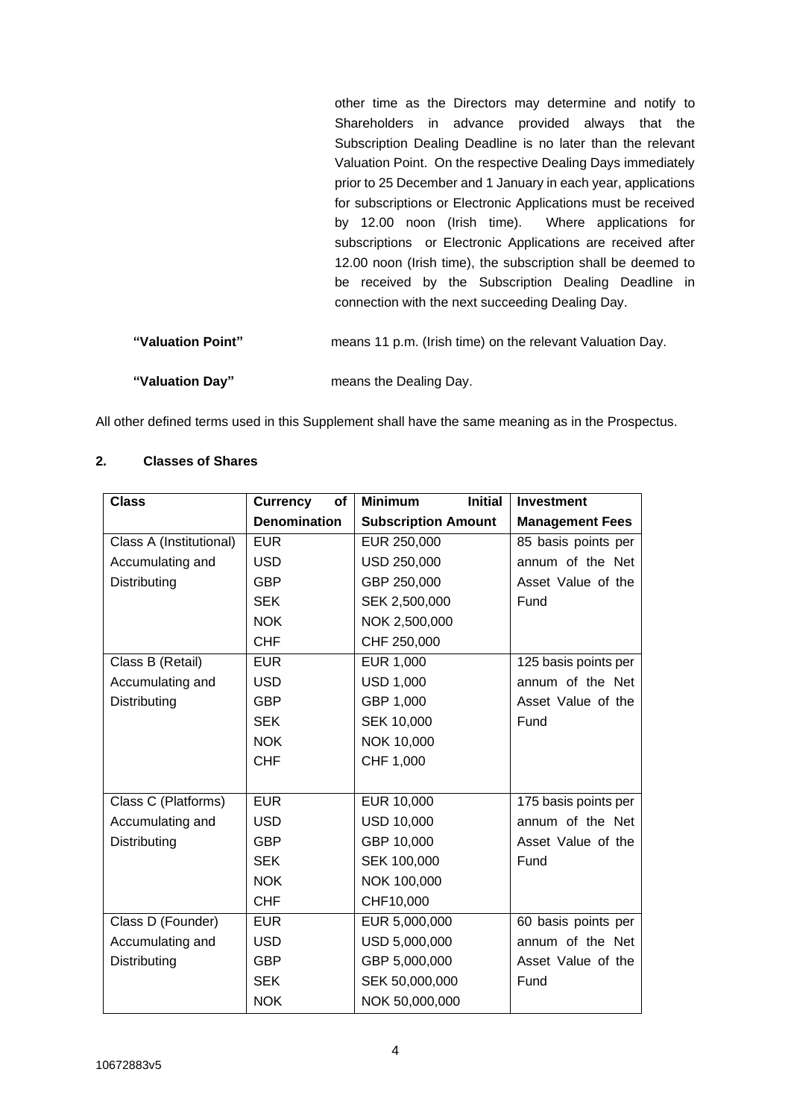other time as the Directors may determine and notify to Shareholders in advance provided always that the Subscription Dealing Deadline is no later than the relevant Valuation Point. On the respective Dealing Days immediately prior to 25 December and 1 January in each year, applications for subscriptions or Electronic Applications must be received by 12.00 noon (Irish time). Where applications for subscriptions or Electronic Applications are received after 12.00 noon (Irish time), the subscription shall be deemed to be received by the Subscription Dealing Deadline in connection with the next succeeding Dealing Day.

| "Valuation Point" | means 11 p.m. (Irish time) on the relevant Valuation Day. |
|-------------------|-----------------------------------------------------------|
| "Valuation Day"   | means the Dealing Day.                                    |

All other defined terms used in this Supplement shall have the same meaning as in the Prospectus.

# **2. Classes of Shares**

| <b>Class</b>            | <b>Currency</b><br>of | <b>Minimum</b><br><b>Initial</b> | <b>Investment</b>      |
|-------------------------|-----------------------|----------------------------------|------------------------|
|                         | <b>Denomination</b>   | <b>Subscription Amount</b>       | <b>Management Fees</b> |
| Class A (Institutional) | <b>EUR</b>            | EUR 250,000                      | 85 basis points per    |
| Accumulating and        | <b>USD</b>            | USD 250,000                      | annum of the Net       |
| Distributing            | <b>GBP</b>            | GBP 250,000                      | Asset Value of the     |
|                         | <b>SEK</b>            | SEK 2,500,000                    | Fund                   |
|                         | <b>NOK</b>            | NOK 2,500,000                    |                        |
|                         | <b>CHF</b>            | CHF 250,000                      |                        |
| Class B (Retail)        | <b>EUR</b>            | EUR 1,000                        | 125 basis points per   |
| Accumulating and        | <b>USD</b>            | <b>USD 1,000</b>                 | annum of the Net       |
| Distributing            | <b>GBP</b>            | GBP 1,000                        | Asset Value of the     |
|                         | <b>SEK</b>            | SEK 10,000                       | Fund                   |
|                         | <b>NOK</b>            | NOK 10,000                       |                        |
|                         | <b>CHF</b>            | CHF 1,000                        |                        |
|                         |                       |                                  |                        |
| Class C (Platforms)     | <b>EUR</b>            | EUR 10,000                       | 175 basis points per   |
| Accumulating and        | <b>USD</b>            | <b>USD 10,000</b>                | annum of the Net       |
| Distributing            | <b>GBP</b>            | GBP 10,000                       | Asset Value of the     |
|                         | <b>SEK</b>            | SEK 100,000                      | Fund                   |
|                         | <b>NOK</b>            | NOK 100,000                      |                        |
|                         | <b>CHF</b>            | CHF10,000                        |                        |
| Class D (Founder)       | <b>EUR</b>            | EUR 5,000,000                    | 60 basis points per    |
| Accumulating and        | <b>USD</b>            | USD 5,000,000                    | annum of the Net       |
| Distributing            | <b>GBP</b>            | GBP 5,000,000                    | Asset Value of the     |
|                         | <b>SEK</b>            | SEK 50,000,000                   | Fund                   |
|                         | <b>NOK</b>            | NOK 50,000,000                   |                        |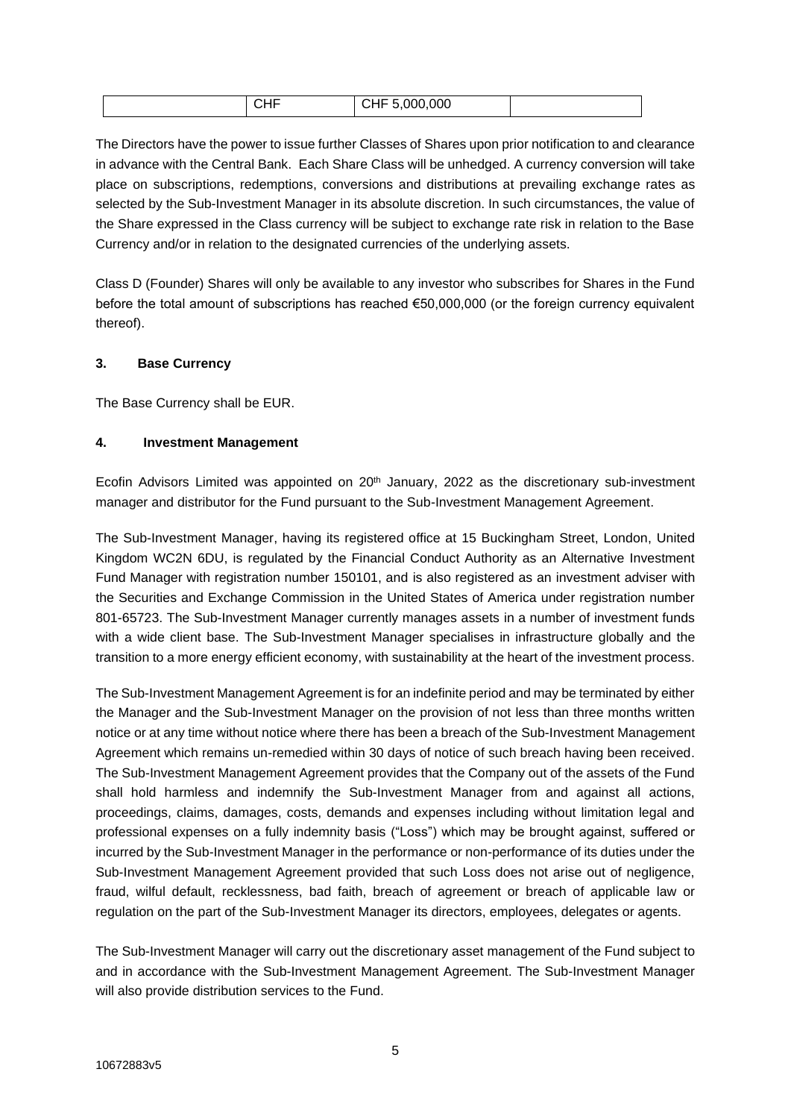| ,, ,, | $\sim$<br>,uuu<br>◡᠁ |  |
|-------|----------------------|--|
|-------|----------------------|--|

The Directors have the power to issue further Classes of Shares upon prior notification to and clearance in advance with the Central Bank. Each Share Class will be unhedged. A currency conversion will take place on subscriptions, redemptions, conversions and distributions at prevailing exchange rates as selected by the Sub-Investment Manager in its absolute discretion. In such circumstances, the value of the Share expressed in the Class currency will be subject to exchange rate risk in relation to the Base Currency and/or in relation to the designated currencies of the underlying assets.

Class D (Founder) Shares will only be available to any investor who subscribes for Shares in the Fund before the total amount of subscriptions has reached €50,000,000 (or the foreign currency equivalent thereof).

# **3. Base Currency**

The Base Currency shall be EUR.

# **4. Investment Management**

Ecofin Advisors Limited was appointed on  $20<sup>th</sup>$  January, 2022 as the discretionary sub-investment manager and distributor for the Fund pursuant to the Sub-Investment Management Agreement.

The Sub-Investment Manager, having its registered office at 15 Buckingham Street, London, United Kingdom WC2N 6DU, is regulated by the Financial Conduct Authority as an Alternative Investment Fund Manager with registration number 150101, and is also registered as an investment adviser with the Securities and Exchange Commission in the United States of America under registration number 801-65723. The Sub-Investment Manager currently manages assets in a number of investment funds with a wide client base. The Sub-Investment Manager specialises in infrastructure globally and the transition to a more energy efficient economy, with sustainability at the heart of the investment process.

The Sub-Investment Management Agreement is for an indefinite period and may be terminated by either the Manager and the Sub-Investment Manager on the provision of not less than three months written notice or at any time without notice where there has been a breach of the Sub-Investment Management Agreement which remains un-remedied within 30 days of notice of such breach having been received. The Sub-Investment Management Agreement provides that the Company out of the assets of the Fund shall hold harmless and indemnify the Sub-Investment Manager from and against all actions, proceedings, claims, damages, costs, demands and expenses including without limitation legal and professional expenses on a fully indemnity basis ("Loss") which may be brought against, suffered or incurred by the Sub-Investment Manager in the performance or non-performance of its duties under the Sub-Investment Management Agreement provided that such Loss does not arise out of negligence, fraud, wilful default, recklessness, bad faith, breach of agreement or breach of applicable law or regulation on the part of the Sub-Investment Manager its directors, employees, delegates or agents.

The Sub-Investment Manager will carry out the discretionary asset management of the Fund subject to and in accordance with the Sub-Investment Management Agreement. The Sub-Investment Manager will also provide distribution services to the Fund.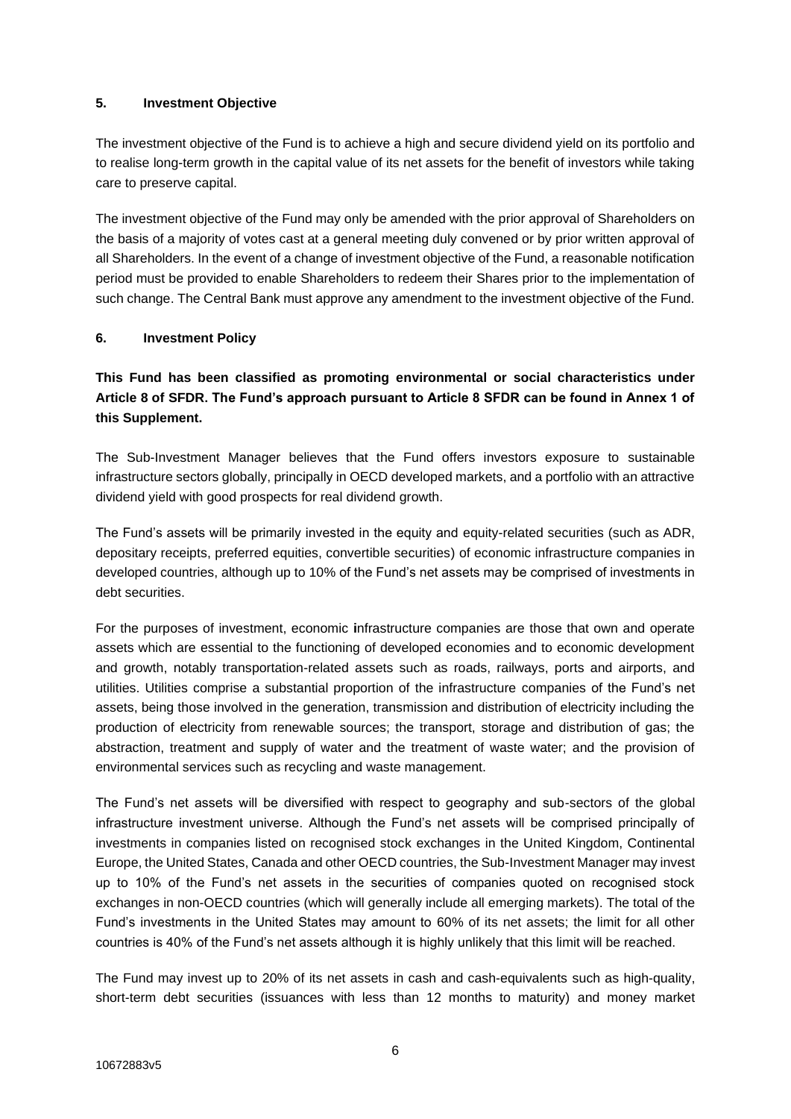# **5. Investment Objective**

The investment objective of the Fund is to achieve a high and secure dividend yield on its portfolio and to realise long-term growth in the capital value of its net assets for the benefit of investors while taking care to preserve capital.

The investment objective of the Fund may only be amended with the prior approval of Shareholders on the basis of a majority of votes cast at a general meeting duly convened or by prior written approval of all Shareholders. In the event of a change of investment objective of the Fund, a reasonable notification period must be provided to enable Shareholders to redeem their Shares prior to the implementation of such change. The Central Bank must approve any amendment to the investment objective of the Fund.

# **6. Investment Policy**

# **This Fund has been classified as promoting environmental or social characteristics under Article 8 of SFDR. The Fund's approach pursuant to Article 8 SFDR can be found in Annex 1 of this Supplement.**

The Sub-Investment Manager believes that the Fund offers investors exposure to sustainable infrastructure sectors globally, principally in OECD developed markets, and a portfolio with an attractive dividend yield with good prospects for real dividend growth.

The Fund's assets will be primarily invested in the equity and equity-related securities (such as ADR, depositary receipts, preferred equities, convertible securities) of economic infrastructure companies in developed countries, although up to 10% of the Fund's net assets may be comprised of investments in debt securities.

For the purposes of investment, economic **i**nfrastructure companies are those that own and operate assets which are essential to the functioning of developed economies and to economic development and growth, notably transportation-related assets such as roads, railways, ports and airports, and utilities. Utilities comprise a substantial proportion of the infrastructure companies of the Fund's net assets, being those involved in the generation, transmission and distribution of electricity including the production of electricity from renewable sources; the transport, storage and distribution of gas; the abstraction, treatment and supply of water and the treatment of waste water; and the provision of environmental services such as recycling and waste management.

The Fund's net assets will be diversified with respect to geography and sub-sectors of the global infrastructure investment universe. Although the Fund's net assets will be comprised principally of investments in companies listed on recognised stock exchanges in the United Kingdom, Continental Europe, the United States, Canada and other OECD countries, the Sub-Investment Manager may invest up to 10% of the Fund's net assets in the securities of companies quoted on recognised stock exchanges in non-OECD countries (which will generally include all emerging markets). The total of the Fund's investments in the United States may amount to 60% of its net assets; the limit for all other countries is 40% of the Fund's net assets although it is highly unlikely that this limit will be reached.

The Fund may invest up to 20% of its net assets in cash and cash-equivalents such as high-quality, short-term debt securities (issuances with less than 12 months to maturity) and money market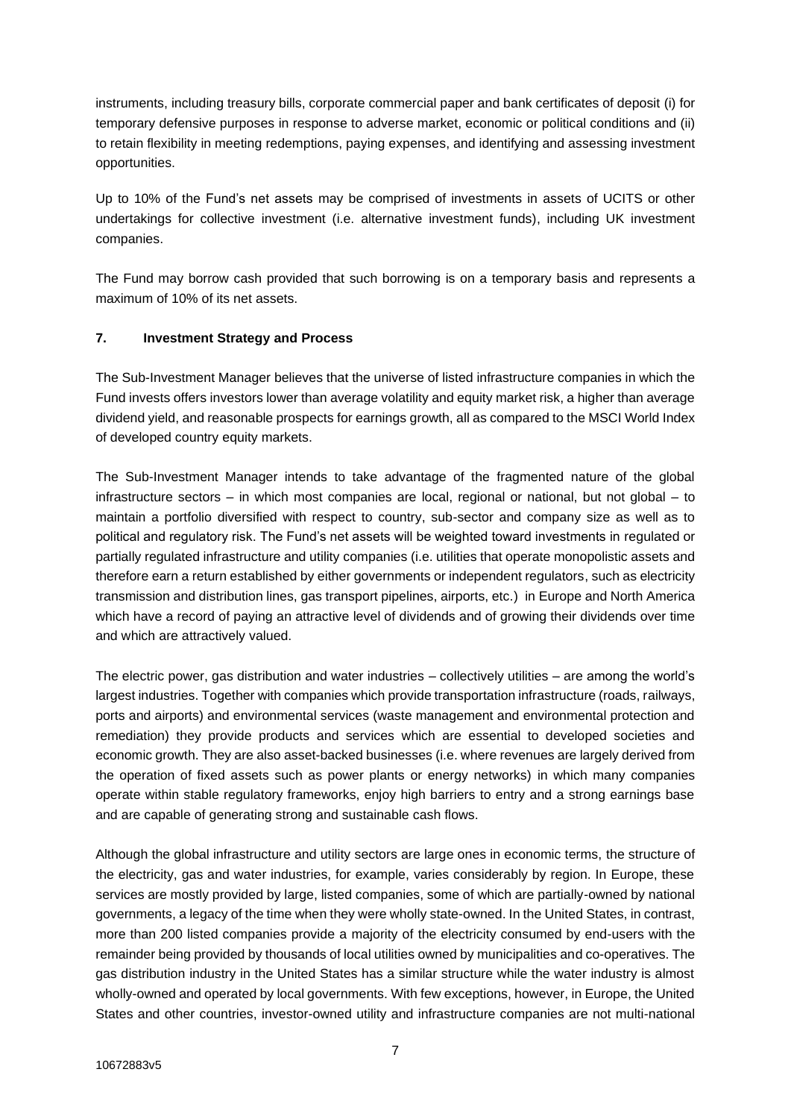instruments, including treasury bills, corporate commercial paper and bank certificates of deposit (i) for temporary defensive purposes in response to adverse market, economic or political conditions and (ii) to retain flexibility in meeting redemptions, paying expenses, and identifying and assessing investment opportunities.

Up to 10% of the Fund's net assets may be comprised of investments in assets of UCITS or other undertakings for collective investment (i.e. alternative investment funds), including UK investment companies.

The Fund may borrow cash provided that such borrowing is on a temporary basis and represents a maximum of 10% of its net assets.

# **7. Investment Strategy and Process**

The Sub-Investment Manager believes that the universe of listed infrastructure companies in which the Fund invests offers investors lower than average volatility and equity market risk, a higher than average dividend yield, and reasonable prospects for earnings growth, all as compared to the MSCI World Index of developed country equity markets.

The Sub-Investment Manager intends to take advantage of the fragmented nature of the global infrastructure sectors – in which most companies are local, regional or national, but not global – to maintain a portfolio diversified with respect to country, sub-sector and company size as well as to political and regulatory risk. The Fund's net assets will be weighted toward investments in regulated or partially regulated infrastructure and utility companies (i.e. utilities that operate monopolistic assets and therefore earn a return established by either governments or independent regulators, such as electricity transmission and distribution lines, gas transport pipelines, airports, etc.) in Europe and North America which have a record of paying an attractive level of dividends and of growing their dividends over time and which are attractively valued.

The electric power, gas distribution and water industries – collectively utilities – are among the world's largest industries. Together with companies which provide transportation infrastructure (roads, railways, ports and airports) and environmental services (waste management and environmental protection and remediation) they provide products and services which are essential to developed societies and economic growth. They are also asset-backed businesses (i.e. where revenues are largely derived from the operation of fixed assets such as power plants or energy networks) in which many companies operate within stable regulatory frameworks, enjoy high barriers to entry and a strong earnings base and are capable of generating strong and sustainable cash flows.

Although the global infrastructure and utility sectors are large ones in economic terms, the structure of the electricity, gas and water industries, for example, varies considerably by region. In Europe, these services are mostly provided by large, listed companies, some of which are partially-owned by national governments, a legacy of the time when they were wholly state-owned. In the United States, in contrast, more than 200 listed companies provide a majority of the electricity consumed by end-users with the remainder being provided by thousands of local utilities owned by municipalities and co-operatives. The gas distribution industry in the United States has a similar structure while the water industry is almost wholly-owned and operated by local governments. With few exceptions, however, in Europe, the United States and other countries, investor-owned utility and infrastructure companies are not multi-national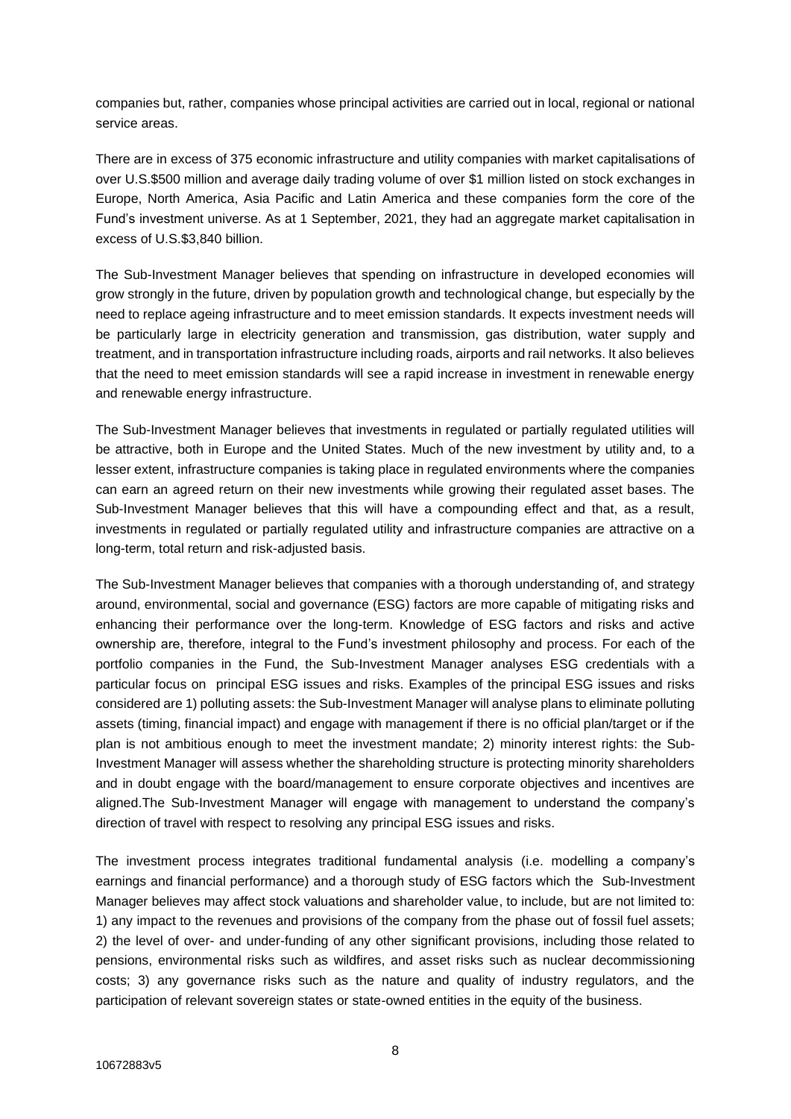companies but, rather, companies whose principal activities are carried out in local, regional or national service areas.

There are in excess of 375 economic infrastructure and utility companies with market capitalisations of over U.S.\$500 million and average daily trading volume of over \$1 million listed on stock exchanges in Europe, North America, Asia Pacific and Latin America and these companies form the core of the Fund's investment universe. As at 1 September, 2021, they had an aggregate market capitalisation in excess of U.S.\$3,840 billion.

The Sub-Investment Manager believes that spending on infrastructure in developed economies will grow strongly in the future, driven by population growth and technological change, but especially by the need to replace ageing infrastructure and to meet emission standards. It expects investment needs will be particularly large in electricity generation and transmission, gas distribution, water supply and treatment, and in transportation infrastructure including roads, airports and rail networks. It also believes that the need to meet emission standards will see a rapid increase in investment in renewable energy and renewable energy infrastructure.

The Sub-Investment Manager believes that investments in regulated or partially regulated utilities will be attractive, both in Europe and the United States. Much of the new investment by utility and, to a lesser extent, infrastructure companies is taking place in regulated environments where the companies can earn an agreed return on their new investments while growing their regulated asset bases. The Sub-Investment Manager believes that this will have a compounding effect and that, as a result, investments in regulated or partially regulated utility and infrastructure companies are attractive on a long-term, total return and risk-adjusted basis.

The Sub-Investment Manager believes that companies with a thorough understanding of, and strategy around, environmental, social and governance (ESG) factors are more capable of mitigating risks and enhancing their performance over the long-term. Knowledge of ESG factors and risks and active ownership are, therefore, integral to the Fund's investment philosophy and process. For each of the portfolio companies in the Fund, the Sub-Investment Manager analyses ESG credentials with a particular focus on principal ESG issues and risks. Examples of the principal ESG issues and risks considered are 1) polluting assets: the Sub-Investment Manager will analyse plans to eliminate polluting assets (timing, financial impact) and engage with management if there is no official plan/target or if the plan is not ambitious enough to meet the investment mandate; 2) minority interest rights: the Sub-Investment Manager will assess whether the shareholding structure is protecting minority shareholders and in doubt engage with the board/management to ensure corporate objectives and incentives are aligned.The Sub-Investment Manager will engage with management to understand the company's direction of travel with respect to resolving any principal ESG issues and risks.

The investment process integrates traditional fundamental analysis (i.e. modelling a company's earnings and financial performance) and a thorough study of ESG factors which the Sub-Investment Manager believes may affect stock valuations and shareholder value, to include, but are not limited to: 1) any impact to the revenues and provisions of the company from the phase out of fossil fuel assets; 2) the level of over- and under-funding of any other significant provisions, including those related to pensions, environmental risks such as wildfires, and asset risks such as nuclear decommissioning costs; 3) any governance risks such as the nature and quality of industry regulators, and the participation of relevant sovereign states or state-owned entities in the equity of the business.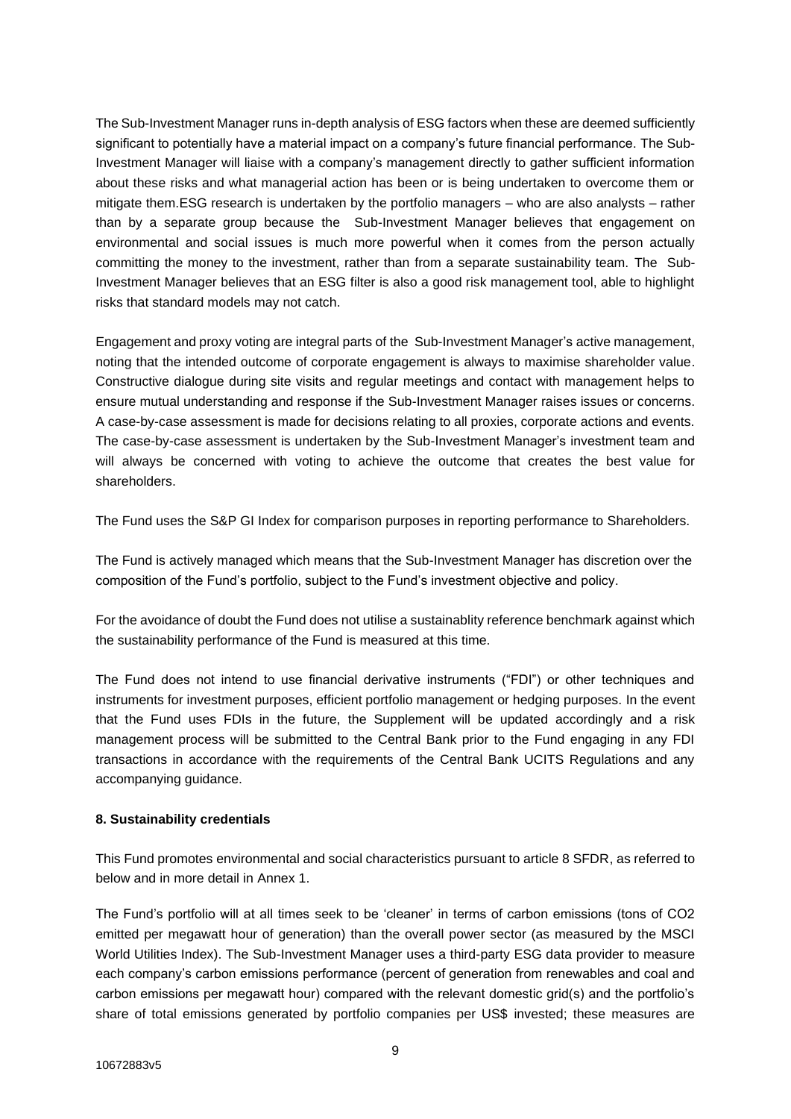The Sub-Investment Manager runs in-depth analysis of ESG factors when these are deemed sufficiently significant to potentially have a material impact on a company's future financial performance. The Sub-Investment Manager will liaise with a company's management directly to gather sufficient information about these risks and what managerial action has been or is being undertaken to overcome them or mitigate them.ESG research is undertaken by the portfolio managers – who are also analysts – rather than by a separate group because the Sub-Investment Manager believes that engagement on environmental and social issues is much more powerful when it comes from the person actually committing the money to the investment, rather than from a separate sustainability team. The Sub-Investment Manager believes that an ESG filter is also a good risk management tool, able to highlight risks that standard models may not catch.

Engagement and proxy voting are integral parts of the Sub-Investment Manager's active management, noting that the intended outcome of corporate engagement is always to maximise shareholder value. Constructive dialogue during site visits and regular meetings and contact with management helps to ensure mutual understanding and response if the Sub-Investment Manager raises issues or concerns. A case-by-case assessment is made for decisions relating to all proxies, corporate actions and events. The case-by-case assessment is undertaken by the Sub-Investment Manager's investment team and will always be concerned with voting to achieve the outcome that creates the best value for shareholders.

The Fund uses the S&P GI Index for comparison purposes in reporting performance to Shareholders.

The Fund is actively managed which means that the Sub-Investment Manager has discretion over the composition of the Fund's portfolio, subject to the Fund's investment objective and policy.

For the avoidance of doubt the Fund does not utilise a sustainablity reference benchmark against which the sustainability performance of the Fund is measured at this time.

The Fund does not intend to use financial derivative instruments ("FDI") or other techniques and instruments for investment purposes, efficient portfolio management or hedging purposes. In the event that the Fund uses FDIs in the future, the Supplement will be updated accordingly and a risk management process will be submitted to the Central Bank prior to the Fund engaging in any FDI transactions in accordance with the requirements of the Central Bank UCITS Regulations and any accompanying guidance.

## **8. Sustainability credentials**

This Fund promotes environmental and social characteristics pursuant to article 8 SFDR, as referred to below and in more detail in Annex 1.

The Fund's portfolio will at all times seek to be 'cleaner' in terms of carbon emissions (tons of CO2 emitted per megawatt hour of generation) than the overall power sector (as measured by the MSCI World Utilities Index). The Sub-Investment Manager uses a third-party ESG data provider to measure each company's carbon emissions performance (percent of generation from renewables and coal and carbon emissions per megawatt hour) compared with the relevant domestic grid(s) and the portfolio's share of total emissions generated by portfolio companies per US\$ invested; these measures are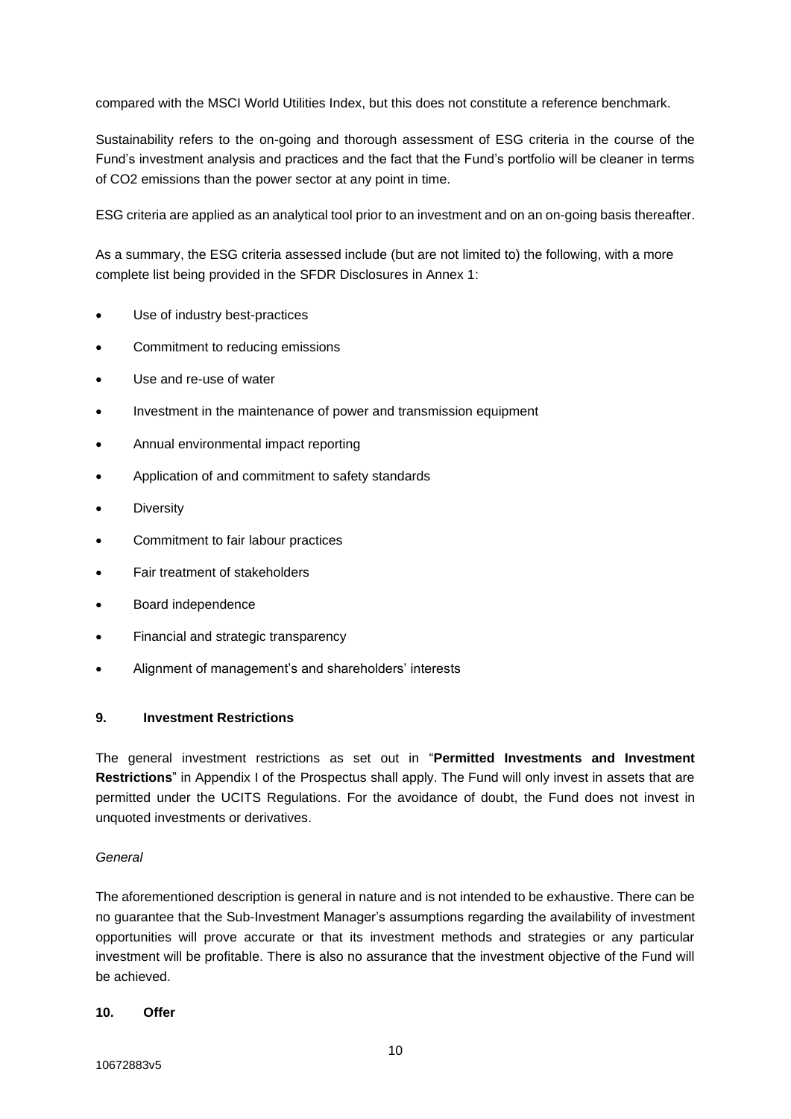compared with the MSCI World Utilities Index, but this does not constitute a reference benchmark.

Sustainability refers to the on-going and thorough assessment of ESG criteria in the course of the Fund's investment analysis and practices and the fact that the Fund's portfolio will be cleaner in terms of CO2 emissions than the power sector at any point in time.

ESG criteria are applied as an analytical tool prior to an investment and on an on-going basis thereafter.

As a summary, the ESG criteria assessed include (but are not limited to) the following, with a more complete list being provided in the SFDR Disclosures in Annex 1:

- Use of industry best-practices
- Commitment to reducing emissions
- Use and re-use of water
- Investment in the maintenance of power and transmission equipment
- Annual environmental impact reporting
- Application of and commitment to safety standards
- **Diversity**
- Commitment to fair labour practices
- Fair treatment of stakeholders
- Board independence
- Financial and strategic transparency
- Alignment of management's and shareholders' interests

## **9. Investment Restrictions**

The general investment restrictions as set out in "**Permitted Investments and Investment Restrictions**" in Appendix I of the Prospectus shall apply. The Fund will only invest in assets that are permitted under the UCITS Regulations. For the avoidance of doubt, the Fund does not invest in unquoted investments or derivatives.

## *General*

The aforementioned description is general in nature and is not intended to be exhaustive. There can be no guarantee that the Sub-Investment Manager's assumptions regarding the availability of investment opportunities will prove accurate or that its investment methods and strategies or any particular investment will be profitable. There is also no assurance that the investment objective of the Fund will be achieved.

## **10. Offer**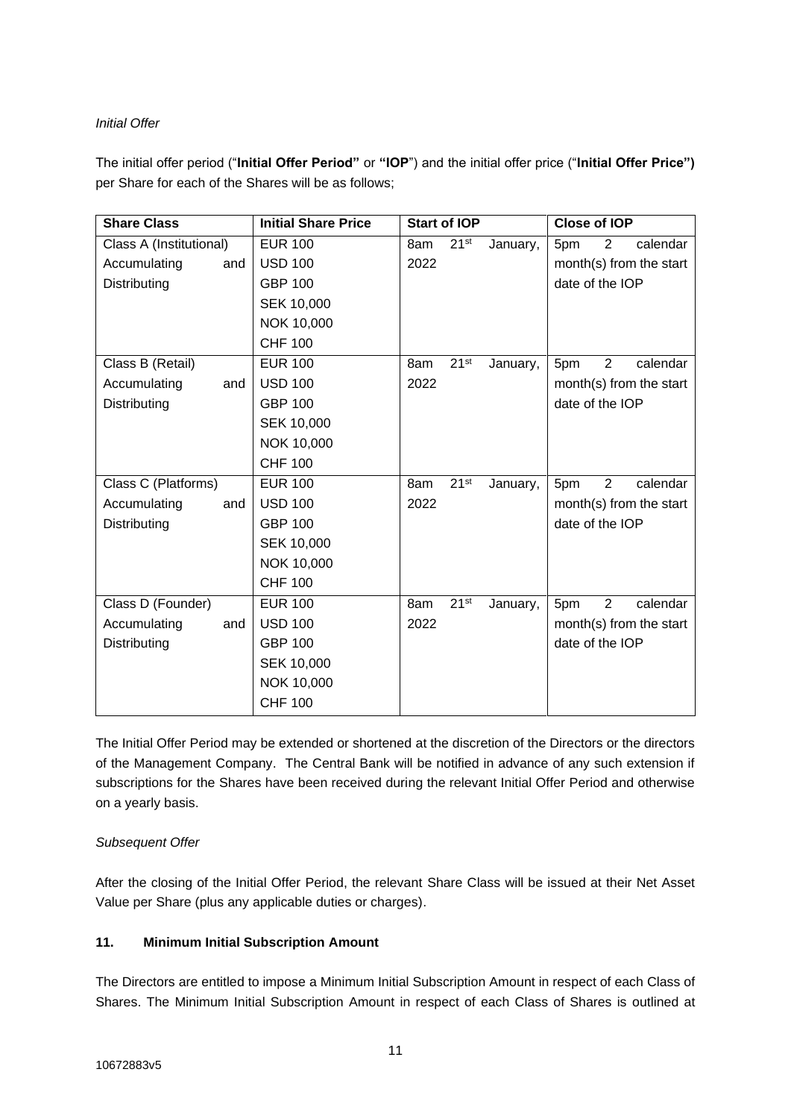# *Initial Offer*

The initial offer period ("**Initial Offer Period"** or **"IOP**") and the initial offer price ("**Initial Offer Price")** per Share for each of the Shares will be as follows;

| <b>Share Class</b>      | <b>Initial Share Price</b> | <b>Start of IOP</b>                 | <b>Close of IOP</b>               |
|-------------------------|----------------------------|-------------------------------------|-----------------------------------|
| Class A (Institutional) | <b>EUR 100</b>             | 21 <sup>st</sup><br>8am<br>January, | $\overline{2}$<br>5pm<br>calendar |
| Accumulating<br>and     | <b>USD 100</b>             | 2022                                | month(s) from the start           |
| Distributing            | <b>GBP 100</b>             |                                     | date of the IOP                   |
|                         | SEK 10,000                 |                                     |                                   |
|                         | NOK 10,000                 |                                     |                                   |
|                         | <b>CHF 100</b>             |                                     |                                   |
| Class B (Retail)        | <b>EUR 100</b>             | 21 <sup>st</sup><br>8am<br>January, | $\overline{2}$<br>calendar<br>5pm |
| Accumulating<br>and     | <b>USD 100</b>             | 2022                                | month(s) from the start           |
| Distributing            | <b>GBP 100</b>             |                                     | date of the IOP                   |
|                         | <b>SEK 10,000</b>          |                                     |                                   |
|                         | NOK 10,000                 |                                     |                                   |
|                         | <b>CHF 100</b>             |                                     |                                   |
| Class C (Platforms)     | <b>EUR 100</b>             | 21 <sup>st</sup><br>8am<br>January, | $\overline{2}$<br>calendar<br>5pm |
| Accumulating<br>and     | <b>USD 100</b>             | 2022                                | month(s) from the start           |
| Distributing            | <b>GBP 100</b>             |                                     | date of the IOP                   |
|                         | <b>SEK 10,000</b>          |                                     |                                   |
|                         | NOK 10,000                 |                                     |                                   |
|                         | <b>CHF 100</b>             |                                     |                                   |
| Class D (Founder)       | <b>EUR 100</b>             | 21 <sup>st</sup><br>8am<br>January, | $\overline{2}$<br>calendar<br>5pm |
| Accumulating<br>and     | <b>USD 100</b>             | 2022                                | month(s) from the start           |
| Distributing            | <b>GBP 100</b>             |                                     | date of the IOP                   |
|                         | <b>SEK 10,000</b>          |                                     |                                   |
|                         | NOK 10,000                 |                                     |                                   |
|                         | <b>CHF 100</b>             |                                     |                                   |

The Initial Offer Period may be extended or shortened at the discretion of the Directors or the directors of the Management Company. The Central Bank will be notified in advance of any such extension if subscriptions for the Shares have been received during the relevant Initial Offer Period and otherwise on a yearly basis.

# *Subsequent Offer*

After the closing of the Initial Offer Period, the relevant Share Class will be issued at their Net Asset Value per Share (plus any applicable duties or charges).

# **11. Minimum Initial Subscription Amount**

The Directors are entitled to impose a Minimum Initial Subscription Amount in respect of each Class of Shares. The Minimum Initial Subscription Amount in respect of each Class of Shares is outlined at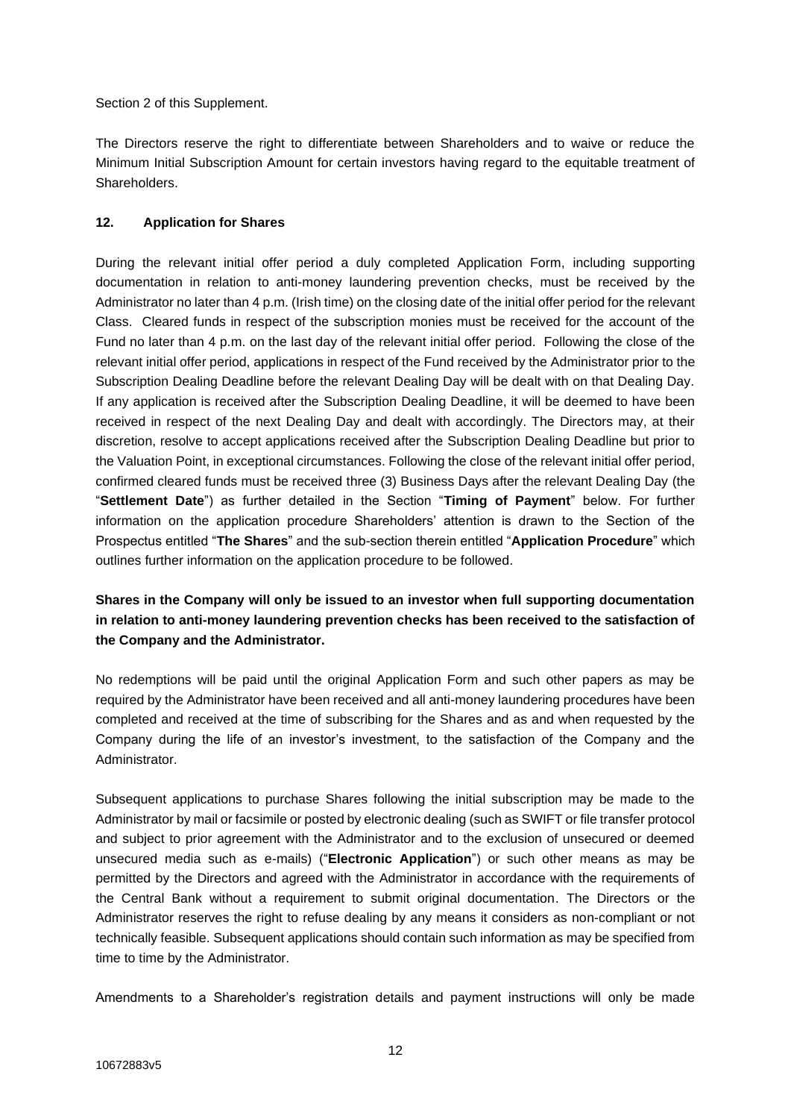Section 2 of this Supplement.

The Directors reserve the right to differentiate between Shareholders and to waive or reduce the Minimum Initial Subscription Amount for certain investors having regard to the equitable treatment of Shareholders.

# **12. Application for Shares**

During the relevant initial offer period a duly completed Application Form, including supporting documentation in relation to anti-money laundering prevention checks, must be received by the Administrator no later than 4 p.m. (Irish time) on the closing date of the initial offer period for the relevant Class. Cleared funds in respect of the subscription monies must be received for the account of the Fund no later than 4 p.m. on the last day of the relevant initial offer period. Following the close of the relevant initial offer period, applications in respect of the Fund received by the Administrator prior to the Subscription Dealing Deadline before the relevant Dealing Day will be dealt with on that Dealing Day. If any application is received after the Subscription Dealing Deadline, it will be deemed to have been received in respect of the next Dealing Day and dealt with accordingly. The Directors may, at their discretion, resolve to accept applications received after the Subscription Dealing Deadline but prior to the Valuation Point, in exceptional circumstances. Following the close of the relevant initial offer period, confirmed cleared funds must be received three (3) Business Days after the relevant Dealing Day (the "**Settlement Date**") as further detailed in the Section "**Timing of Payment**" below. For further information on the application procedure Shareholders' attention is drawn to the Section of the Prospectus entitled "**The Shares**" and the sub-section therein entitled "**Application Procedure**" which outlines further information on the application procedure to be followed.

**Shares in the Company will only be issued to an investor when full supporting documentation in relation to anti-money laundering prevention checks has been received to the satisfaction of the Company and the Administrator.** 

No redemptions will be paid until the original Application Form and such other papers as may be required by the Administrator have been received and all anti-money laundering procedures have been completed and received at the time of subscribing for the Shares and as and when requested by the Company during the life of an investor's investment, to the satisfaction of the Company and the Administrator.

Subsequent applications to purchase Shares following the initial subscription may be made to the Administrator by mail or facsimile or posted by electronic dealing (such as SWIFT or file transfer protocol and subject to prior agreement with the Administrator and to the exclusion of unsecured or deemed unsecured media such as e-mails) ("**Electronic Application**") or such other means as may be permitted by the Directors and agreed with the Administrator in accordance with the requirements of the Central Bank without a requirement to submit original documentation. The Directors or the Administrator reserves the right to refuse dealing by any means it considers as non-compliant or not technically feasible. Subsequent applications should contain such information as may be specified from time to time by the Administrator.

Amendments to a Shareholder's registration details and payment instructions will only be made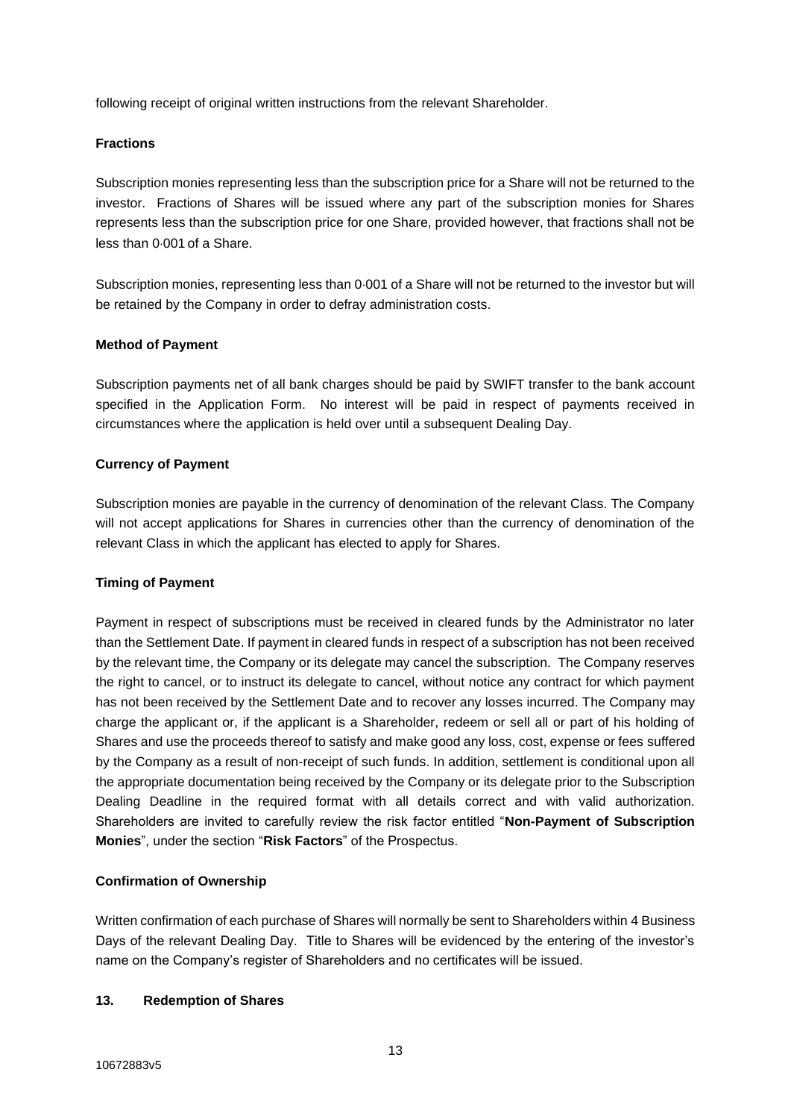following receipt of original written instructions from the relevant Shareholder.

#### **Fractions**

Subscription monies representing less than the subscription price for a Share will not be returned to the investor. Fractions of Shares will be issued where any part of the subscription monies for Shares represents less than the subscription price for one Share, provided however, that fractions shall not be less than 0.001 of a Share.

Subscription monies, representing less than 0.001 of a Share will not be returned to the investor but will be retained by the Company in order to defray administration costs.

#### **Method of Payment**

Subscription payments net of all bank charges should be paid by SWIFT transfer to the bank account specified in the Application Form. No interest will be paid in respect of payments received in circumstances where the application is held over until a subsequent Dealing Day.

## **Currency of Payment**

Subscription monies are payable in the currency of denomination of the relevant Class. The Company will not accept applications for Shares in currencies other than the currency of denomination of the relevant Class in which the applicant has elected to apply for Shares.

#### **Timing of Payment**

Payment in respect of subscriptions must be received in cleared funds by the Administrator no later than the Settlement Date. If payment in cleared funds in respect of a subscription has not been received by the relevant time, the Company or its delegate may cancel the subscription. The Company reserves the right to cancel, or to instruct its delegate to cancel, without notice any contract for which payment has not been received by the Settlement Date and to recover any losses incurred. The Company may charge the applicant or, if the applicant is a Shareholder, redeem or sell all or part of his holding of Shares and use the proceeds thereof to satisfy and make good any loss, cost, expense or fees suffered by the Company as a result of non-receipt of such funds. In addition, settlement is conditional upon all the appropriate documentation being received by the Company or its delegate prior to the Subscription Dealing Deadline in the required format with all details correct and with valid authorization. Shareholders are invited to carefully review the risk factor entitled "**Non-Payment of Subscription Monies**", under the section "**Risk Factors**" of the Prospectus.

## **Confirmation of Ownership**

Written confirmation of each purchase of Shares will normally be sent to Shareholders within 4 Business Days of the relevant Dealing Day. Title to Shares will be evidenced by the entering of the investor's name on the Company's register of Shareholders and no certificates will be issued.

#### **13. Redemption of Shares**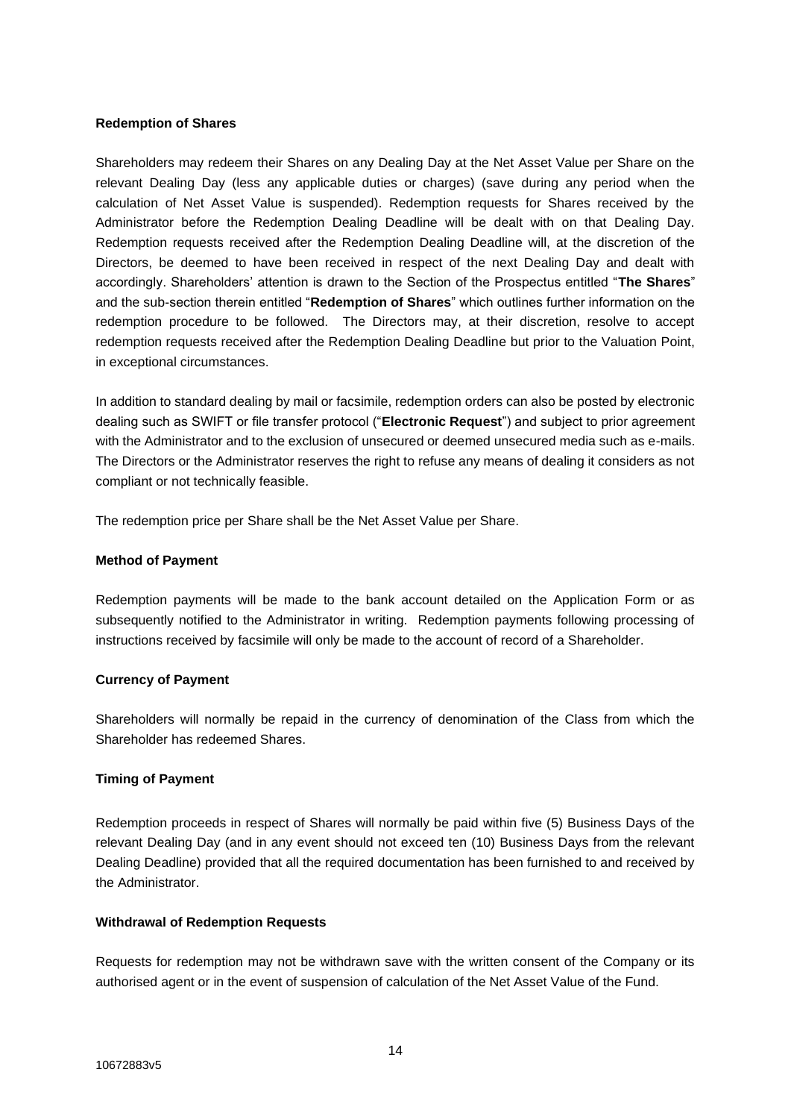#### **Redemption of Shares**

Shareholders may redeem their Shares on any Dealing Day at the Net Asset Value per Share on the relevant Dealing Day (less any applicable duties or charges) (save during any period when the calculation of Net Asset Value is suspended). Redemption requests for Shares received by the Administrator before the Redemption Dealing Deadline will be dealt with on that Dealing Day. Redemption requests received after the Redemption Dealing Deadline will, at the discretion of the Directors, be deemed to have been received in respect of the next Dealing Day and dealt with accordingly. Shareholders' attention is drawn to the Section of the Prospectus entitled "**The Shares**" and the sub-section therein entitled "**Redemption of Shares**" which outlines further information on the redemption procedure to be followed. The Directors may, at their discretion, resolve to accept redemption requests received after the Redemption Dealing Deadline but prior to the Valuation Point, in exceptional circumstances.

In addition to standard dealing by mail or facsimile, redemption orders can also be posted by electronic dealing such as SWIFT or file transfer protocol ("**Electronic Request**") and subject to prior agreement with the Administrator and to the exclusion of unsecured or deemed unsecured media such as e-mails. The Directors or the Administrator reserves the right to refuse any means of dealing it considers as not compliant or not technically feasible.

The redemption price per Share shall be the Net Asset Value per Share.

#### **Method of Payment**

Redemption payments will be made to the bank account detailed on the Application Form or as subsequently notified to the Administrator in writing. Redemption payments following processing of instructions received by facsimile will only be made to the account of record of a Shareholder.

## **Currency of Payment**

Shareholders will normally be repaid in the currency of denomination of the Class from which the Shareholder has redeemed Shares.

#### **Timing of Payment**

Redemption proceeds in respect of Shares will normally be paid within five (5) Business Days of the relevant Dealing Day (and in any event should not exceed ten (10) Business Days from the relevant Dealing Deadline) provided that all the required documentation has been furnished to and received by the Administrator.

#### **Withdrawal of Redemption Requests**

Requests for redemption may not be withdrawn save with the written consent of the Company or its authorised agent or in the event of suspension of calculation of the Net Asset Value of the Fund.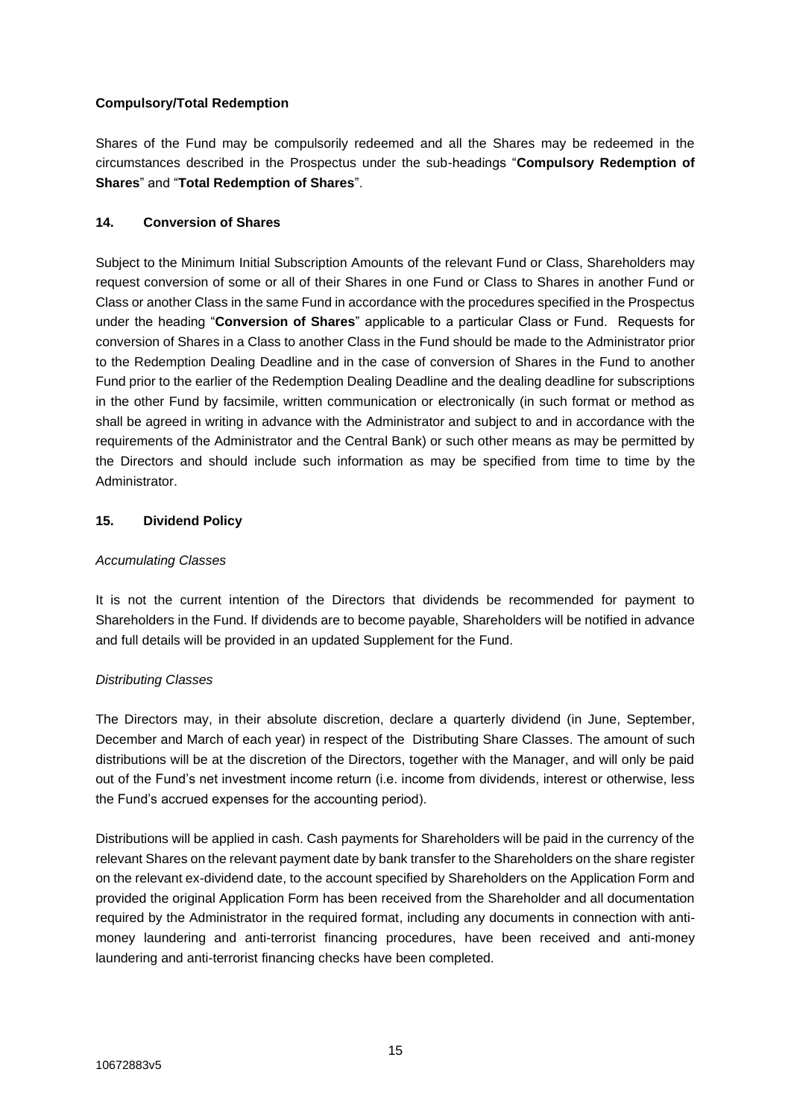# **Compulsory/Total Redemption**

Shares of the Fund may be compulsorily redeemed and all the Shares may be redeemed in the circumstances described in the Prospectus under the sub-headings "**Compulsory Redemption of Shares**" and "**Total Redemption of Shares**".

# **14. Conversion of Shares**

Subject to the Minimum Initial Subscription Amounts of the relevant Fund or Class, Shareholders may request conversion of some or all of their Shares in one Fund or Class to Shares in another Fund or Class or another Class in the same Fund in accordance with the procedures specified in the Prospectus under the heading "**Conversion of Shares**" applicable to a particular Class or Fund. Requests for conversion of Shares in a Class to another Class in the Fund should be made to the Administrator prior to the Redemption Dealing Deadline and in the case of conversion of Shares in the Fund to another Fund prior to the earlier of the Redemption Dealing Deadline and the dealing deadline for subscriptions in the other Fund by facsimile, written communication or electronically (in such format or method as shall be agreed in writing in advance with the Administrator and subject to and in accordance with the requirements of the Administrator and the Central Bank) or such other means as may be permitted by the Directors and should include such information as may be specified from time to time by the Administrator.

# **15. Dividend Policy**

## *Accumulating Classes*

It is not the current intention of the Directors that dividends be recommended for payment to Shareholders in the Fund. If dividends are to become payable, Shareholders will be notified in advance and full details will be provided in an updated Supplement for the Fund.

## *Distributing Classes*

The Directors may, in their absolute discretion, declare a quarterly dividend (in June, September, December and March of each year) in respect of the Distributing Share Classes. The amount of such distributions will be at the discretion of the Directors, together with the Manager, and will only be paid out of the Fund's net investment income return (i.e. income from dividends, interest or otherwise, less the Fund's accrued expenses for the accounting period).

Distributions will be applied in cash. Cash payments for Shareholders will be paid in the currency of the relevant Shares on the relevant payment date by bank transfer to the Shareholders on the share register on the relevant ex-dividend date, to the account specified by Shareholders on the Application Form and provided the original Application Form has been received from the Shareholder and all documentation required by the Administrator in the required format, including any documents in connection with antimoney laundering and anti-terrorist financing procedures, have been received and anti-money laundering and anti-terrorist financing checks have been completed.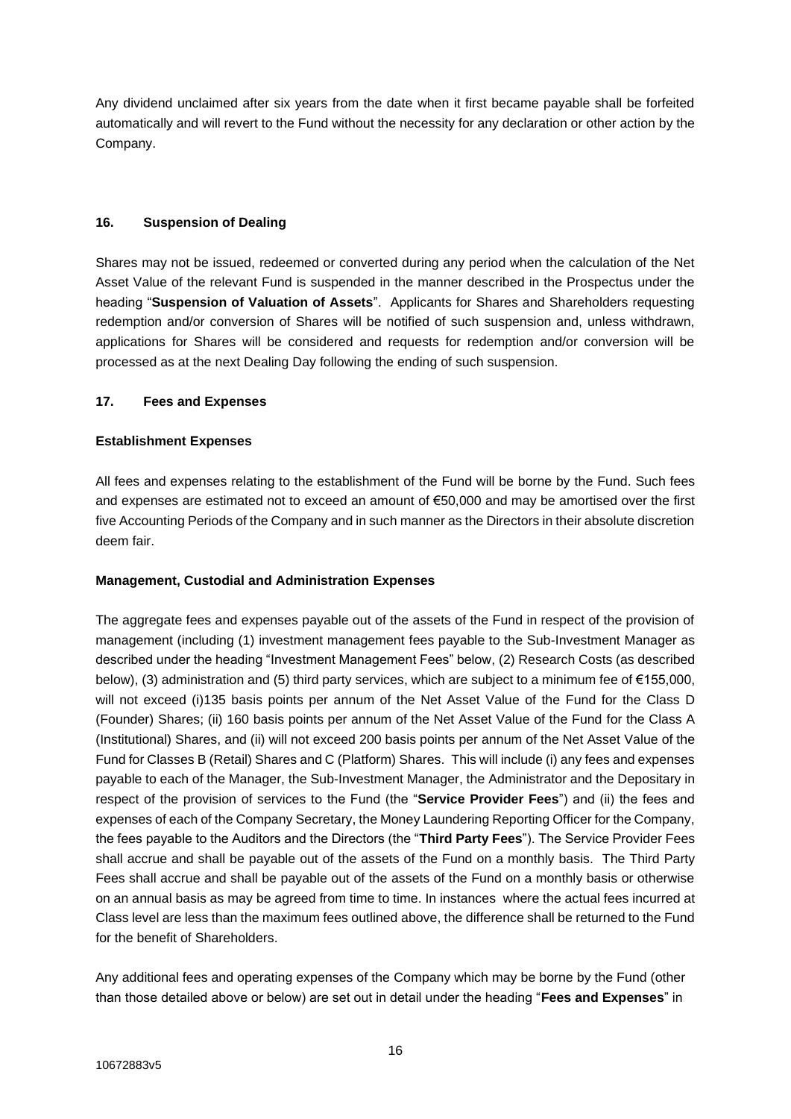Any dividend unclaimed after six years from the date when it first became payable shall be forfeited automatically and will revert to the Fund without the necessity for any declaration or other action by the Company.

# **16. Suspension of Dealing**

Shares may not be issued, redeemed or converted during any period when the calculation of the Net Asset Value of the relevant Fund is suspended in the manner described in the Prospectus under the heading "**Suspension of Valuation of Assets**". Applicants for Shares and Shareholders requesting redemption and/or conversion of Shares will be notified of such suspension and, unless withdrawn, applications for Shares will be considered and requests for redemption and/or conversion will be processed as at the next Dealing Day following the ending of such suspension.

# **17. Fees and Expenses**

# **Establishment Expenses**

All fees and expenses relating to the establishment of the Fund will be borne by the Fund. Such fees and expenses are estimated not to exceed an amount of €50,000 and may be amortised over the first five Accounting Periods of the Company and in such manner as the Directors in their absolute discretion deem fair.

## **Management, Custodial and Administration Expenses**

The aggregate fees and expenses payable out of the assets of the Fund in respect of the provision of management (including (1) investment management fees payable to the Sub-Investment Manager as described under the heading "Investment Management Fees" below, (2) Research Costs (as described below), (3) administration and (5) third party services, which are subject to a minimum fee of €155,000, will not exceed (i)135 basis points per annum of the Net Asset Value of the Fund for the Class D (Founder) Shares; (ii) 160 basis points per annum of the Net Asset Value of the Fund for the Class A (Institutional) Shares, and (ii) will not exceed 200 basis points per annum of the Net Asset Value of the Fund for Classes B (Retail) Shares and C (Platform) Shares. This will include (i) any fees and expenses payable to each of the Manager, the Sub-Investment Manager, the Administrator and the Depositary in respect of the provision of services to the Fund (the "**Service Provider Fees**") and (ii) the fees and expenses of each of the Company Secretary, the Money Laundering Reporting Officer for the Company, the fees payable to the Auditors and the Directors (the "**Third Party Fees**"). The Service Provider Fees shall accrue and shall be payable out of the assets of the Fund on a monthly basis. The Third Party Fees shall accrue and shall be payable out of the assets of the Fund on a monthly basis or otherwise on an annual basis as may be agreed from time to time. In instances where the actual fees incurred at Class level are less than the maximum fees outlined above, the difference shall be returned to the Fund for the benefit of Shareholders.

Any additional fees and operating expenses of the Company which may be borne by the Fund (other than those detailed above or below) are set out in detail under the heading "**Fees and Expenses**" in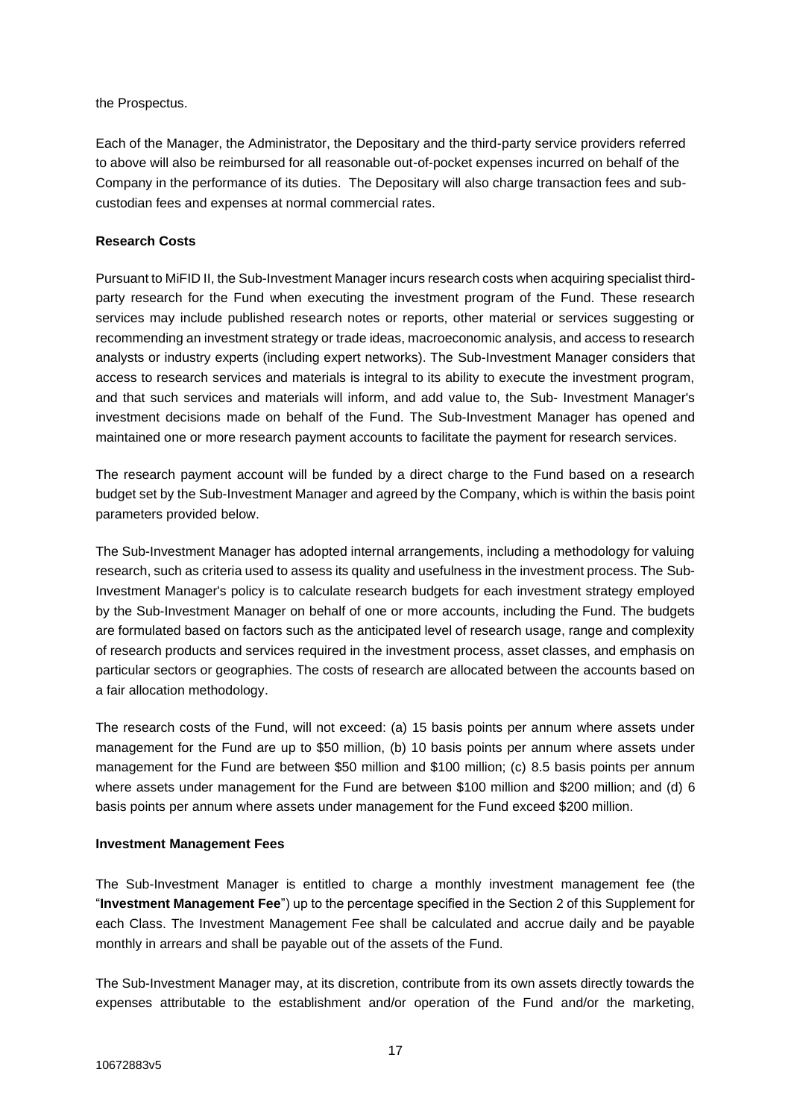the Prospectus.

Each of the Manager, the Administrator, the Depositary and the third-party service providers referred to above will also be reimbursed for all reasonable out-of-pocket expenses incurred on behalf of the Company in the performance of its duties. The Depositary will also charge transaction fees and subcustodian fees and expenses at normal commercial rates.

## **Research Costs**

Pursuant to MiFID II, the Sub-Investment Manager incurs research costs when acquiring specialist thirdparty research for the Fund when executing the investment program of the Fund. These research services may include published research notes or reports, other material or services suggesting or recommending an investment strategy or trade ideas, macroeconomic analysis, and access to research analysts or industry experts (including expert networks). The Sub-Investment Manager considers that access to research services and materials is integral to its ability to execute the investment program, and that such services and materials will inform, and add value to, the Sub- Investment Manager's investment decisions made on behalf of the Fund. The Sub-Investment Manager has opened and maintained one or more research payment accounts to facilitate the payment for research services.

The research payment account will be funded by a direct charge to the Fund based on a research budget set by the Sub-Investment Manager and agreed by the Company, which is within the basis point parameters provided below.

The Sub-Investment Manager has adopted internal arrangements, including a methodology for valuing research, such as criteria used to assess its quality and usefulness in the investment process. The Sub-Investment Manager's policy is to calculate research budgets for each investment strategy employed by the Sub-Investment Manager on behalf of one or more accounts, including the Fund. The budgets are formulated based on factors such as the anticipated level of research usage, range and complexity of research products and services required in the investment process, asset classes, and emphasis on particular sectors or geographies. The costs of research are allocated between the accounts based on a fair allocation methodology.

The research costs of the Fund, will not exceed: (a) 15 basis points per annum where assets under management for the Fund are up to \$50 million, (b) 10 basis points per annum where assets under management for the Fund are between \$50 million and \$100 million; (c) 8.5 basis points per annum where assets under management for the Fund are between \$100 million and \$200 million; and (d) 6 basis points per annum where assets under management for the Fund exceed \$200 million.

## **Investment Management Fees**

The Sub-Investment Manager is entitled to charge a monthly investment management fee (the "**Investment Management Fee**") up to the percentage specified in the Section 2 of this Supplement for each Class. The Investment Management Fee shall be calculated and accrue daily and be payable monthly in arrears and shall be payable out of the assets of the Fund.

The Sub-Investment Manager may, at its discretion, contribute from its own assets directly towards the expenses attributable to the establishment and/or operation of the Fund and/or the marketing,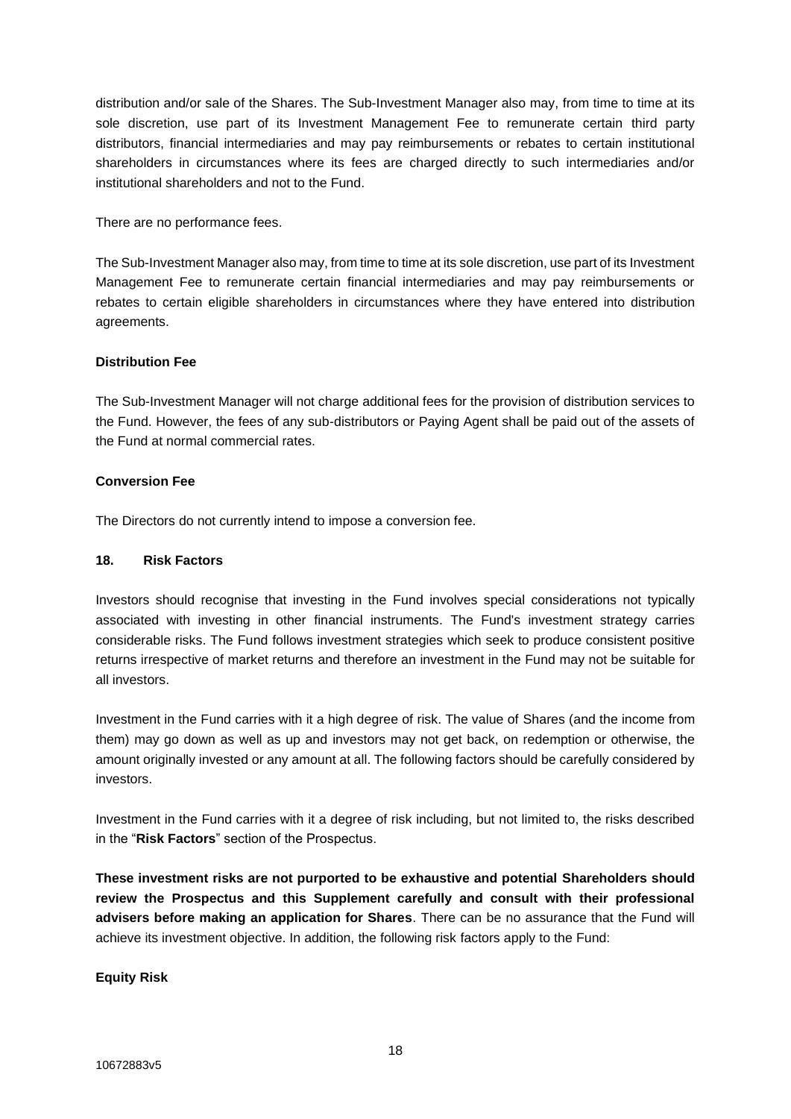distribution and/or sale of the Shares. The Sub-Investment Manager also may, from time to time at its sole discretion, use part of its Investment Management Fee to remunerate certain third party distributors, financial intermediaries and may pay reimbursements or rebates to certain institutional shareholders in circumstances where its fees are charged directly to such intermediaries and/or institutional shareholders and not to the Fund.

There are no performance fees.

The Sub-Investment Manager also may, from time to time at its sole discretion, use part of its Investment Management Fee to remunerate certain financial intermediaries and may pay reimbursements or rebates to certain eligible shareholders in circumstances where they have entered into distribution agreements.

# **Distribution Fee**

The Sub-Investment Manager will not charge additional fees for the provision of distribution services to the Fund. However, the fees of any sub-distributors or Paying Agent shall be paid out of the assets of the Fund at normal commercial rates.

# **Conversion Fee**

The Directors do not currently intend to impose a conversion fee.

# **18. Risk Factors**

Investors should recognise that investing in the Fund involves special considerations not typically associated with investing in other financial instruments. The Fund's investment strategy carries considerable risks. The Fund follows investment strategies which seek to produce consistent positive returns irrespective of market returns and therefore an investment in the Fund may not be suitable for all investors.

Investment in the Fund carries with it a high degree of risk. The value of Shares (and the income from them) may go down as well as up and investors may not get back, on redemption or otherwise, the amount originally invested or any amount at all. The following factors should be carefully considered by investors.

Investment in the Fund carries with it a degree of risk including, but not limited to, the risks described in the "**Risk Factors**" section of the Prospectus.

**These investment risks are not purported to be exhaustive and potential Shareholders should review the Prospectus and this Supplement carefully and consult with their professional advisers before making an application for Shares**. There can be no assurance that the Fund will achieve its investment objective. In addition, the following risk factors apply to the Fund:

**Equity Risk**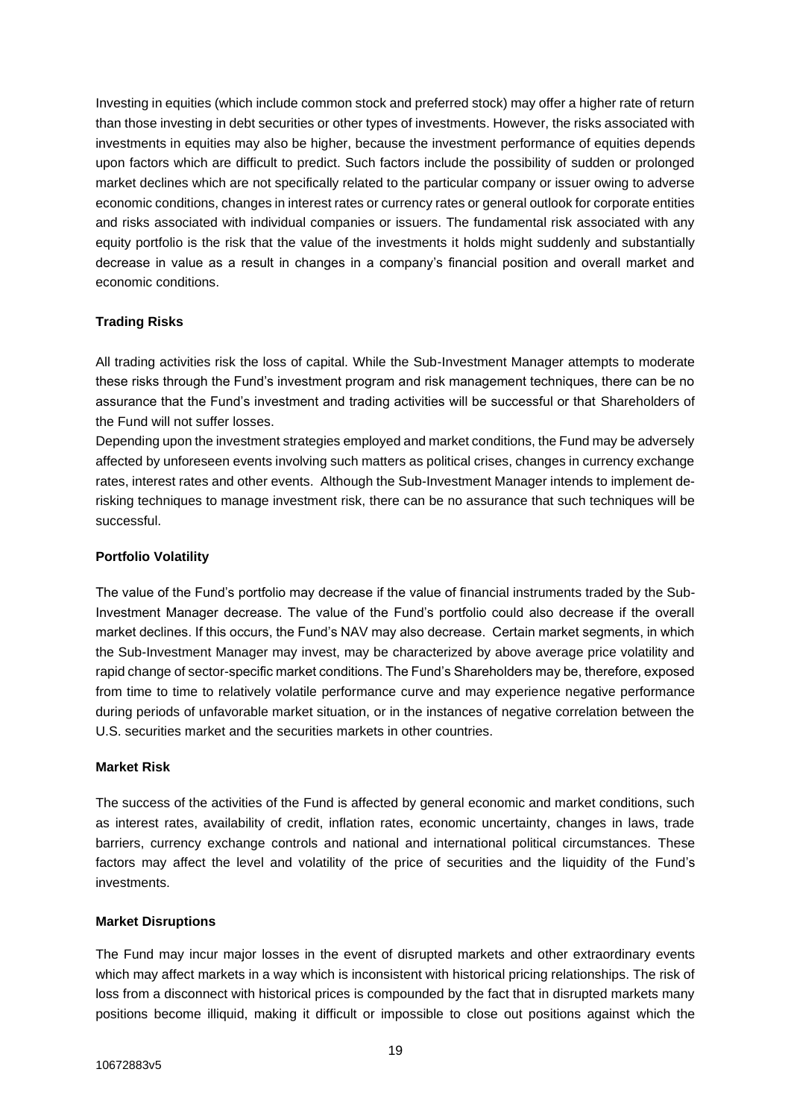Investing in equities (which include common stock and preferred stock) may offer a higher rate of return than those investing in debt securities or other types of investments. However, the risks associated with investments in equities may also be higher, because the investment performance of equities depends upon factors which are difficult to predict. Such factors include the possibility of sudden or prolonged market declines which are not specifically related to the particular company or issuer owing to adverse economic conditions, changes in interest rates or currency rates or general outlook for corporate entities and risks associated with individual companies or issuers. The fundamental risk associated with any equity portfolio is the risk that the value of the investments it holds might suddenly and substantially decrease in value as a result in changes in a company's financial position and overall market and economic conditions.

# **Trading Risks**

All trading activities risk the loss of capital. While the Sub-Investment Manager attempts to moderate these risks through the Fund's investment program and risk management techniques, there can be no assurance that the Fund's investment and trading activities will be successful or that Shareholders of the Fund will not suffer losses.

Depending upon the investment strategies employed and market conditions, the Fund may be adversely affected by unforeseen events involving such matters as political crises, changes in currency exchange rates, interest rates and other events. Although the Sub-Investment Manager intends to implement derisking techniques to manage investment risk, there can be no assurance that such techniques will be successful.

#### **Portfolio Volatility**

The value of the Fund's portfolio may decrease if the value of financial instruments traded by the Sub-Investment Manager decrease. The value of the Fund's portfolio could also decrease if the overall market declines. If this occurs, the Fund's NAV may also decrease. Certain market segments, in which the Sub-Investment Manager may invest, may be characterized by above average price volatility and rapid change of sector-specific market conditions. The Fund's Shareholders may be, therefore, exposed from time to time to relatively volatile performance curve and may experience negative performance during periods of unfavorable market situation, or in the instances of negative correlation between the U.S. securities market and the securities markets in other countries.

#### **Market Risk**

The success of the activities of the Fund is affected by general economic and market conditions, such as interest rates, availability of credit, inflation rates, economic uncertainty, changes in laws, trade barriers, currency exchange controls and national and international political circumstances. These factors may affect the level and volatility of the price of securities and the liquidity of the Fund's investments.

#### **Market Disruptions**

The Fund may incur major losses in the event of disrupted markets and other extraordinary events which may affect markets in a way which is inconsistent with historical pricing relationships. The risk of loss from a disconnect with historical prices is compounded by the fact that in disrupted markets many positions become illiquid, making it difficult or impossible to close out positions against which the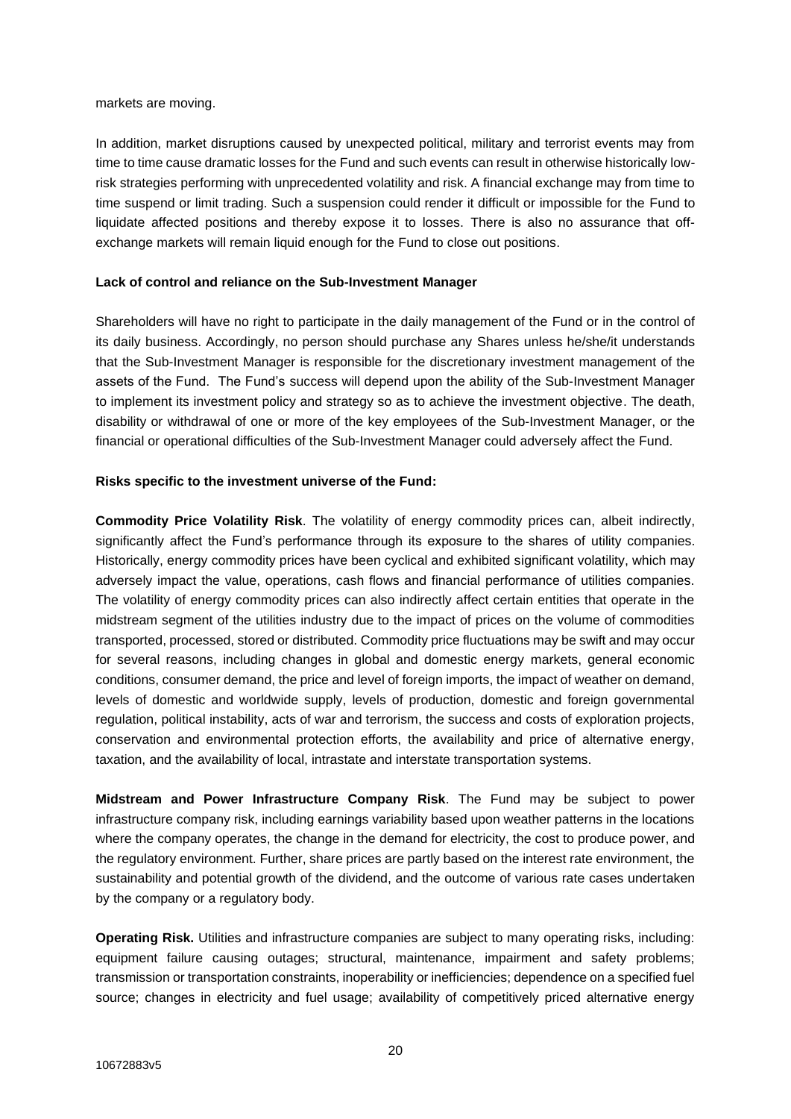markets are moving.

In addition, market disruptions caused by unexpected political, military and terrorist events may from time to time cause dramatic losses for the Fund and such events can result in otherwise historically lowrisk strategies performing with unprecedented volatility and risk. A financial exchange may from time to time suspend or limit trading. Such a suspension could render it difficult or impossible for the Fund to liquidate affected positions and thereby expose it to losses. There is also no assurance that offexchange markets will remain liquid enough for the Fund to close out positions.

## **Lack of control and reliance on the Sub-Investment Manager**

Shareholders will have no right to participate in the daily management of the Fund or in the control of its daily business. Accordingly, no person should purchase any Shares unless he/she/it understands that the Sub-Investment Manager is responsible for the discretionary investment management of the assets of the Fund. The Fund's success will depend upon the ability of the Sub-Investment Manager to implement its investment policy and strategy so as to achieve the investment objective. The death, disability or withdrawal of one or more of the key employees of the Sub-Investment Manager, or the financial or operational difficulties of the Sub-Investment Manager could adversely affect the Fund.

# **Risks specific to the investment universe of the Fund:**

**Commodity Price Volatility Risk**. The volatility of energy commodity prices can, albeit indirectly, significantly affect the Fund's performance through its exposure to the shares of utility companies. Historically, energy commodity prices have been cyclical and exhibited significant volatility, which may adversely impact the value, operations, cash flows and financial performance of utilities companies. The volatility of energy commodity prices can also indirectly affect certain entities that operate in the midstream segment of the utilities industry due to the impact of prices on the volume of commodities transported, processed, stored or distributed. Commodity price fluctuations may be swift and may occur for several reasons, including changes in global and domestic energy markets, general economic conditions, consumer demand, the price and level of foreign imports, the impact of weather on demand, levels of domestic and worldwide supply, levels of production, domestic and foreign governmental regulation, political instability, acts of war and terrorism, the success and costs of exploration projects, conservation and environmental protection efforts, the availability and price of alternative energy, taxation, and the availability of local, intrastate and interstate transportation systems.

**Midstream and Power Infrastructure Company Risk**. The Fund may be subject to power infrastructure company risk, including earnings variability based upon weather patterns in the locations where the company operates, the change in the demand for electricity, the cost to produce power, and the regulatory environment. Further, share prices are partly based on the interest rate environment, the sustainability and potential growth of the dividend, and the outcome of various rate cases undertaken by the company or a regulatory body.

**Operating Risk.** Utilities and infrastructure companies are subject to many operating risks, including: equipment failure causing outages; structural, maintenance, impairment and safety problems; transmission or transportation constraints, inoperability or inefficiencies; dependence on a specified fuel source; changes in electricity and fuel usage; availability of competitively priced alternative energy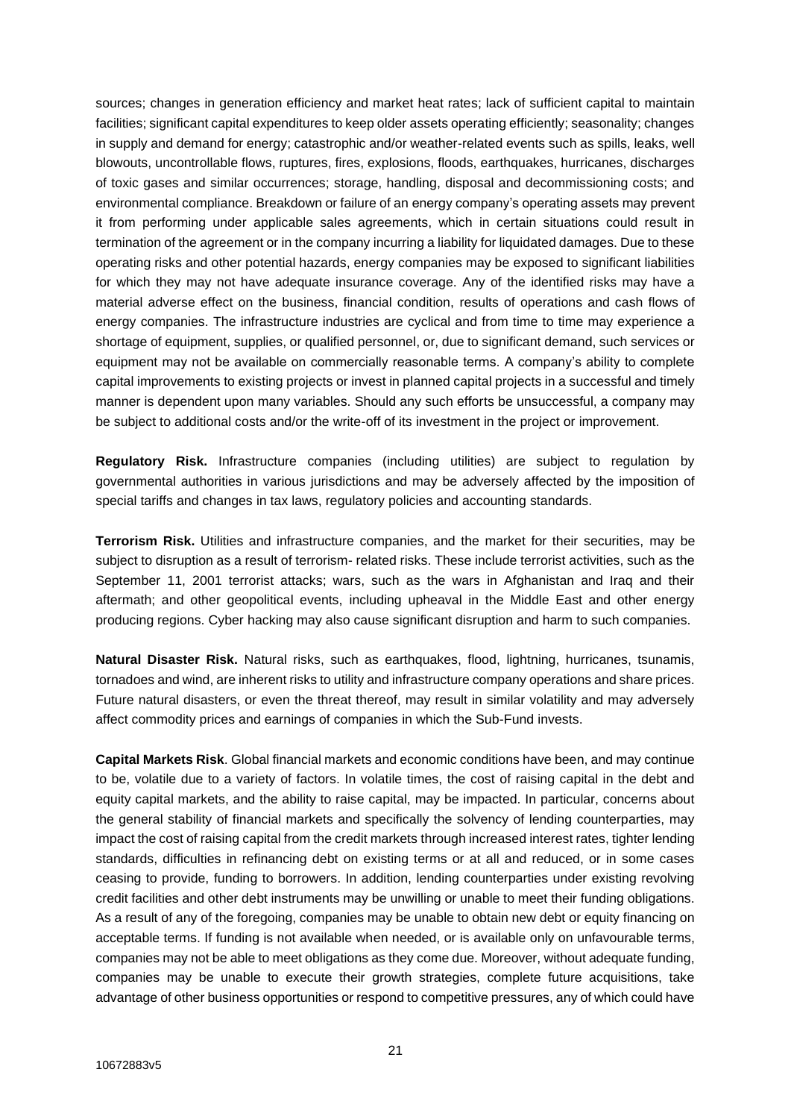sources; changes in generation efficiency and market heat rates; lack of sufficient capital to maintain facilities; significant capital expenditures to keep older assets operating efficiently; seasonality; changes in supply and demand for energy; catastrophic and/or weather-related events such as spills, leaks, well blowouts, uncontrollable flows, ruptures, fires, explosions, floods, earthquakes, hurricanes, discharges of toxic gases and similar occurrences; storage, handling, disposal and decommissioning costs; and environmental compliance. Breakdown or failure of an energy company's operating assets may prevent it from performing under applicable sales agreements, which in certain situations could result in termination of the agreement or in the company incurring a liability for liquidated damages. Due to these operating risks and other potential hazards, energy companies may be exposed to significant liabilities for which they may not have adequate insurance coverage. Any of the identified risks may have a material adverse effect on the business, financial condition, results of operations and cash flows of energy companies. The infrastructure industries are cyclical and from time to time may experience a shortage of equipment, supplies, or qualified personnel, or, due to significant demand, such services or equipment may not be available on commercially reasonable terms. A company's ability to complete capital improvements to existing projects or invest in planned capital projects in a successful and timely manner is dependent upon many variables. Should any such efforts be unsuccessful, a company may be subject to additional costs and/or the write-off of its investment in the project or improvement.

**Regulatory Risk.** Infrastructure companies (including utilities) are subject to regulation by governmental authorities in various jurisdictions and may be adversely affected by the imposition of special tariffs and changes in tax laws, regulatory policies and accounting standards.

**Terrorism Risk.** Utilities and infrastructure companies, and the market for their securities, may be subject to disruption as a result of terrorism- related risks. These include terrorist activities, such as the September 11, 2001 terrorist attacks; wars, such as the wars in Afghanistan and Iraq and their aftermath; and other geopolitical events, including upheaval in the Middle East and other energy producing regions. Cyber hacking may also cause significant disruption and harm to such companies.

**Natural Disaster Risk.** Natural risks, such as earthquakes, flood, lightning, hurricanes, tsunamis, tornadoes and wind, are inherent risks to utility and infrastructure company operations and share prices. Future natural disasters, or even the threat thereof, may result in similar volatility and may adversely affect commodity prices and earnings of companies in which the Sub-Fund invests.

**Capital Markets Risk**. Global financial markets and economic conditions have been, and may continue to be, volatile due to a variety of factors. In volatile times, the cost of raising capital in the debt and equity capital markets, and the ability to raise capital, may be impacted. In particular, concerns about the general stability of financial markets and specifically the solvency of lending counterparties, may impact the cost of raising capital from the credit markets through increased interest rates, tighter lending standards, difficulties in refinancing debt on existing terms or at all and reduced, or in some cases ceasing to provide, funding to borrowers. In addition, lending counterparties under existing revolving credit facilities and other debt instruments may be unwilling or unable to meet their funding obligations. As a result of any of the foregoing, companies may be unable to obtain new debt or equity financing on acceptable terms. If funding is not available when needed, or is available only on unfavourable terms, companies may not be able to meet obligations as they come due. Moreover, without adequate funding, companies may be unable to execute their growth strategies, complete future acquisitions, take advantage of other business opportunities or respond to competitive pressures, any of which could have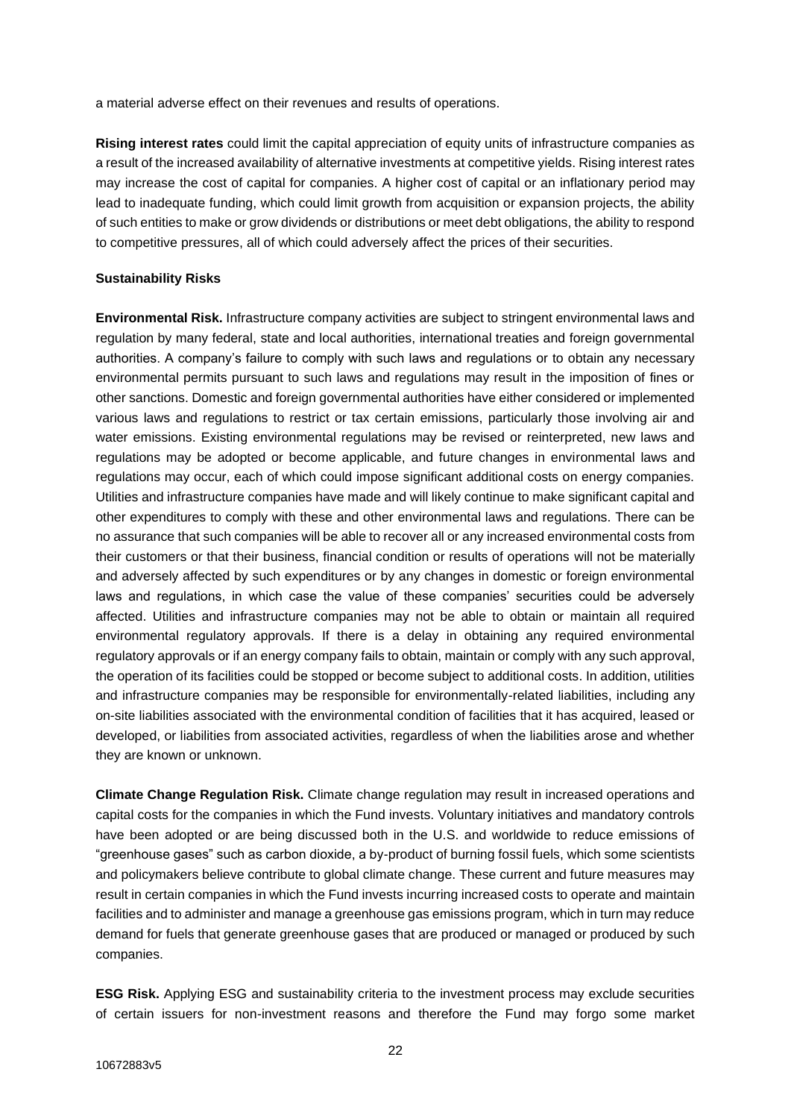a material adverse effect on their revenues and results of operations.

**Rising interest rates** could limit the capital appreciation of equity units of infrastructure companies as a result of the increased availability of alternative investments at competitive yields. Rising interest rates may increase the cost of capital for companies. A higher cost of capital or an inflationary period may lead to inadequate funding, which could limit growth from acquisition or expansion projects, the ability of such entities to make or grow dividends or distributions or meet debt obligations, the ability to respond to competitive pressures, all of which could adversely affect the prices of their securities.

## **Sustainability Risks**

**Environmental Risk.** Infrastructure company activities are subject to stringent environmental laws and regulation by many federal, state and local authorities, international treaties and foreign governmental authorities. A company's failure to comply with such laws and regulations or to obtain any necessary environmental permits pursuant to such laws and regulations may result in the imposition of fines or other sanctions. Domestic and foreign governmental authorities have either considered or implemented various laws and regulations to restrict or tax certain emissions, particularly those involving air and water emissions. Existing environmental regulations may be revised or reinterpreted, new laws and regulations may be adopted or become applicable, and future changes in environmental laws and regulations may occur, each of which could impose significant additional costs on energy companies. Utilities and infrastructure companies have made and will likely continue to make significant capital and other expenditures to comply with these and other environmental laws and regulations. There can be no assurance that such companies will be able to recover all or any increased environmental costs from their customers or that their business, financial condition or results of operations will not be materially and adversely affected by such expenditures or by any changes in domestic or foreign environmental laws and regulations, in which case the value of these companies' securities could be adversely affected. Utilities and infrastructure companies may not be able to obtain or maintain all required environmental regulatory approvals. If there is a delay in obtaining any required environmental regulatory approvals or if an energy company fails to obtain, maintain or comply with any such approval, the operation of its facilities could be stopped or become subject to additional costs. In addition, utilities and infrastructure companies may be responsible for environmentally-related liabilities, including any on-site liabilities associated with the environmental condition of facilities that it has acquired, leased or developed, or liabilities from associated activities, regardless of when the liabilities arose and whether they are known or unknown.

**Climate Change Regulation Risk.** Climate change regulation may result in increased operations and capital costs for the companies in which the Fund invests. Voluntary initiatives and mandatory controls have been adopted or are being discussed both in the U.S. and worldwide to reduce emissions of "greenhouse gases" such as carbon dioxide, a by-product of burning fossil fuels, which some scientists and policymakers believe contribute to global climate change. These current and future measures may result in certain companies in which the Fund invests incurring increased costs to operate and maintain facilities and to administer and manage a greenhouse gas emissions program, which in turn may reduce demand for fuels that generate greenhouse gases that are produced or managed or produced by such companies.

**ESG Risk.** Applying ESG and sustainability criteria to the investment process may exclude securities of certain issuers for non-investment reasons and therefore the Fund may forgo some market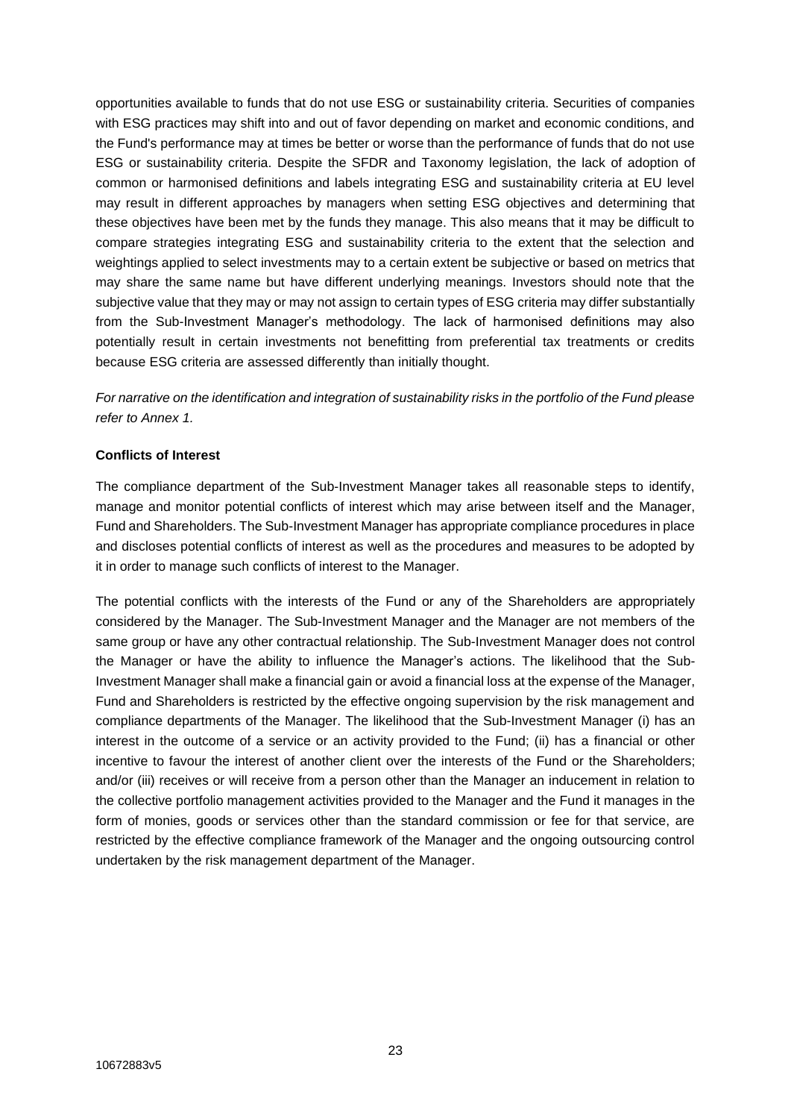opportunities available to funds that do not use ESG or sustainability criteria. Securities of companies with ESG practices may shift into and out of favor depending on market and economic conditions, and the Fund's performance may at times be better or worse than the performance of funds that do not use ESG or sustainability criteria. Despite the SFDR and Taxonomy legislation, the lack of adoption of common or harmonised definitions and labels integrating ESG and sustainability criteria at EU level may result in different approaches by managers when setting ESG objectives and determining that these objectives have been met by the funds they manage. This also means that it may be difficult to compare strategies integrating ESG and sustainability criteria to the extent that the selection and weightings applied to select investments may to a certain extent be subjective or based on metrics that may share the same name but have different underlying meanings. Investors should note that the subjective value that they may or may not assign to certain types of ESG criteria may differ substantially from the Sub-Investment Manager's methodology. The lack of harmonised definitions may also potentially result in certain investments not benefitting from preferential tax treatments or credits because ESG criteria are assessed differently than initially thought.

*For narrative on the identification and integration of sustainability risks in the portfolio of the Fund please refer to Annex 1.*

## **Conflicts of Interest**

The compliance department of the Sub-Investment Manager takes all reasonable steps to identify, manage and monitor potential conflicts of interest which may arise between itself and the Manager, Fund and Shareholders. The Sub-Investment Manager has appropriate compliance procedures in place and discloses potential conflicts of interest as well as the procedures and measures to be adopted by it in order to manage such conflicts of interest to the Manager.

The potential conflicts with the interests of the Fund or any of the Shareholders are appropriately considered by the Manager. The Sub-Investment Manager and the Manager are not members of the same group or have any other contractual relationship. The Sub-Investment Manager does not control the Manager or have the ability to influence the Manager's actions. The likelihood that the Sub-Investment Manager shall make a financial gain or avoid a financial loss at the expense of the Manager, Fund and Shareholders is restricted by the effective ongoing supervision by the risk management and compliance departments of the Manager. The likelihood that the Sub-Investment Manager (i) has an interest in the outcome of a service or an activity provided to the Fund; (ii) has a financial or other incentive to favour the interest of another client over the interests of the Fund or the Shareholders; and/or (iii) receives or will receive from a person other than the Manager an inducement in relation to the collective portfolio management activities provided to the Manager and the Fund it manages in the form of monies, goods or services other than the standard commission or fee for that service, are restricted by the effective compliance framework of the Manager and the ongoing outsourcing control undertaken by the risk management department of the Manager.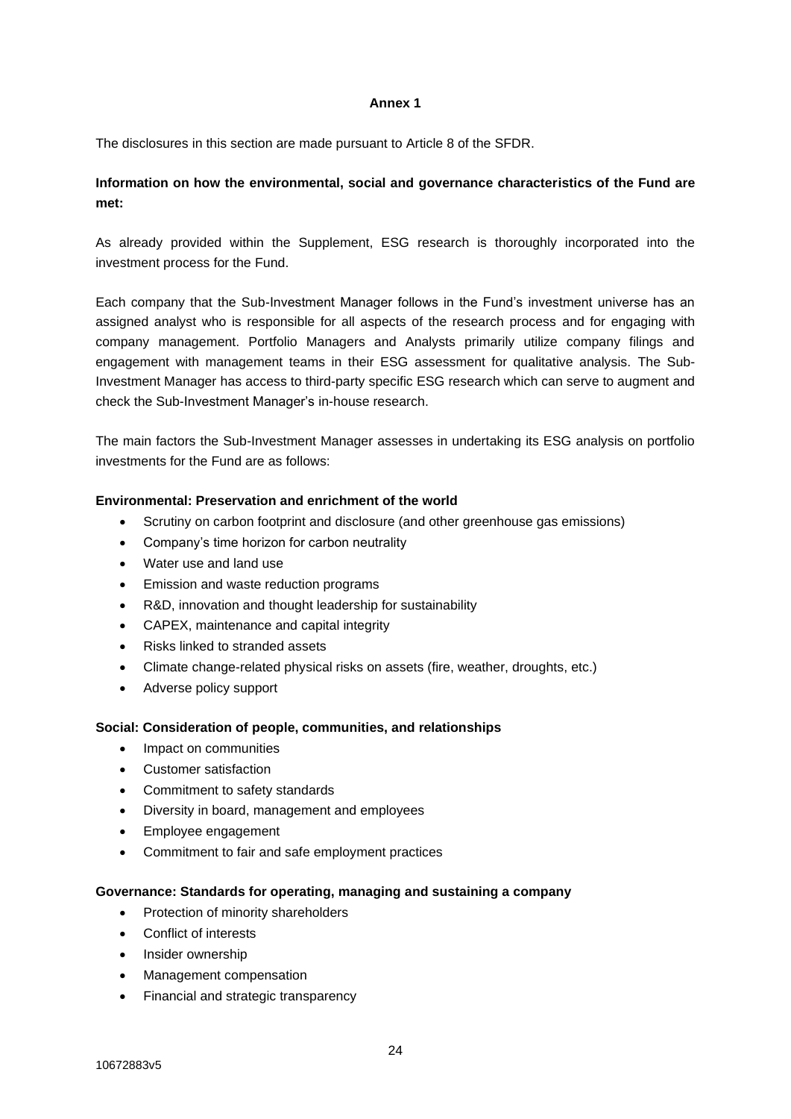## **Annex 1**

The disclosures in this section are made pursuant to Article 8 of the SFDR.

# **Information on how the environmental, social and governance characteristics of the Fund are met:**

As already provided within the Supplement, ESG research is thoroughly incorporated into the investment process for the Fund.

Each company that the Sub-Investment Manager follows in the Fund's investment universe has an assigned analyst who is responsible for all aspects of the research process and for engaging with company management. Portfolio Managers and Analysts primarily utilize company filings and engagement with management teams in their ESG assessment for qualitative analysis. The Sub-Investment Manager has access to third-party specific ESG research which can serve to augment and check the Sub-Investment Manager's in-house research.

The main factors the Sub-Investment Manager assesses in undertaking its ESG analysis on portfolio investments for the Fund are as follows:

## **Environmental: Preservation and enrichment of the world**

- Scrutiny on carbon footprint and disclosure (and other greenhouse gas emissions)
- Company's time horizon for carbon neutrality
- Water use and land use
- Emission and waste reduction programs
- R&D, innovation and thought leadership for sustainability
- CAPEX, maintenance and capital integrity
- Risks linked to stranded assets
- Climate change-related physical risks on assets (fire, weather, droughts, etc.)
- Adverse policy support

#### **Social: Consideration of people, communities, and relationships**

- Impact on communities
- Customer satisfaction
- Commitment to safety standards
- Diversity in board, management and employees
- Employee engagement
- Commitment to fair and safe employment practices

#### **Governance: Standards for operating, managing and sustaining a company**

- Protection of minority shareholders
- Conflict of interests
- Insider ownership
- Management compensation
- Financial and strategic transparency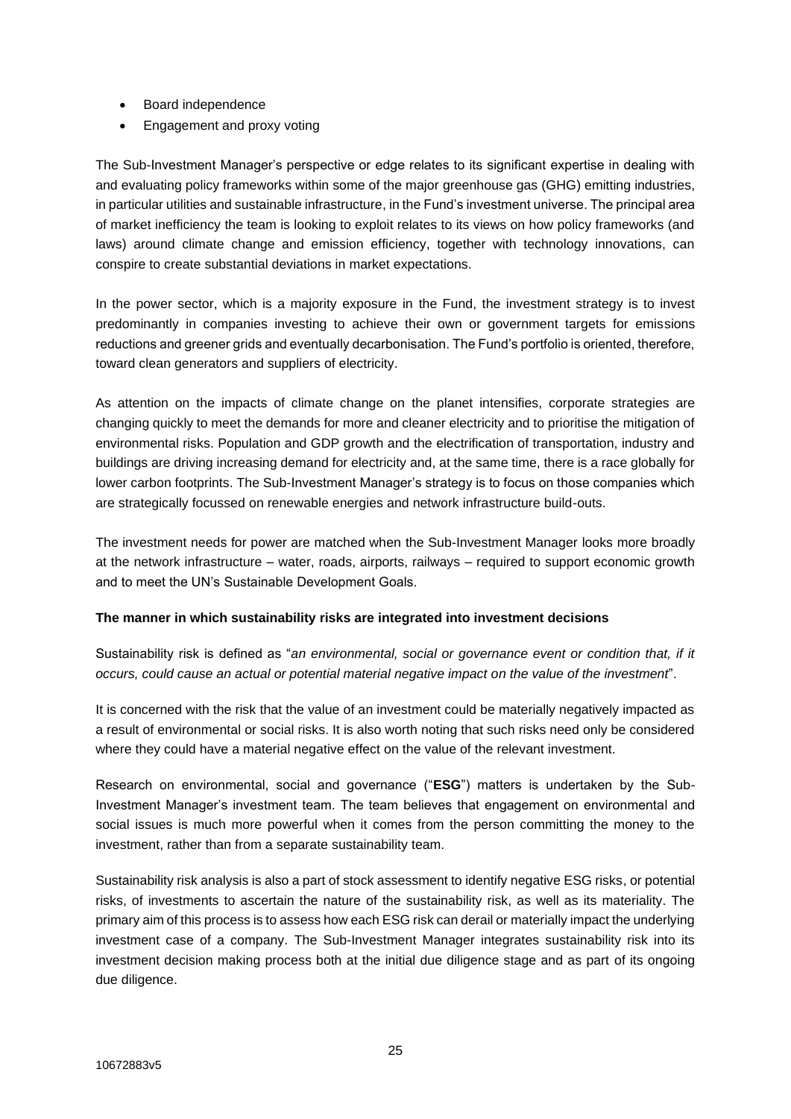- Board independence
- Engagement and proxy voting

The Sub-Investment Manager's perspective or edge relates to its significant expertise in dealing with and evaluating policy frameworks within some of the major greenhouse gas (GHG) emitting industries, in particular utilities and sustainable infrastructure, in the Fund's investment universe. The principal area of market inefficiency the team is looking to exploit relates to its views on how policy frameworks (and laws) around climate change and emission efficiency, together with technology innovations, can conspire to create substantial deviations in market expectations.

In the power sector, which is a majority exposure in the Fund, the investment strategy is to invest predominantly in companies investing to achieve their own or government targets for emissions reductions and greener grids and eventually decarbonisation. The Fund's portfolio is oriented, therefore, toward clean generators and suppliers of electricity.

As attention on the impacts of climate change on the planet intensifies, corporate strategies are changing quickly to meet the demands for more and cleaner electricity and to prioritise the mitigation of environmental risks. Population and GDP growth and the electrification of transportation, industry and buildings are driving increasing demand for electricity and, at the same time, there is a race globally for lower carbon footprints. The Sub-Investment Manager's strategy is to focus on those companies which are strategically focussed on renewable energies and network infrastructure build-outs.

The investment needs for power are matched when the Sub-Investment Manager looks more broadly at the network infrastructure – water, roads, airports, railways – required to support economic growth and to meet the UN's Sustainable Development Goals.

## **The manner in which sustainability risks are integrated into investment decisions**

Sustainability risk is defined as "*an environmental, social or governance event or condition that, if it occurs, could cause an actual or potential material negative impact on the value of the investment*".

It is concerned with the risk that the value of an investment could be materially negatively impacted as a result of environmental or social risks. It is also worth noting that such risks need only be considered where they could have a material negative effect on the value of the relevant investment.

Research on environmental, social and governance ("**ESG**") matters is undertaken by the Sub-Investment Manager's investment team. The team believes that engagement on environmental and social issues is much more powerful when it comes from the person committing the money to the investment, rather than from a separate sustainability team.

Sustainability risk analysis is also a part of stock assessment to identify negative ESG risks, or potential risks, of investments to ascertain the nature of the sustainability risk, as well as its materiality. The primary aim of this process is to assess how each ESG risk can derail or materially impact the underlying investment case of a company. The Sub-Investment Manager integrates sustainability risk into its investment decision making process both at the initial due diligence stage and as part of its ongoing due diligence.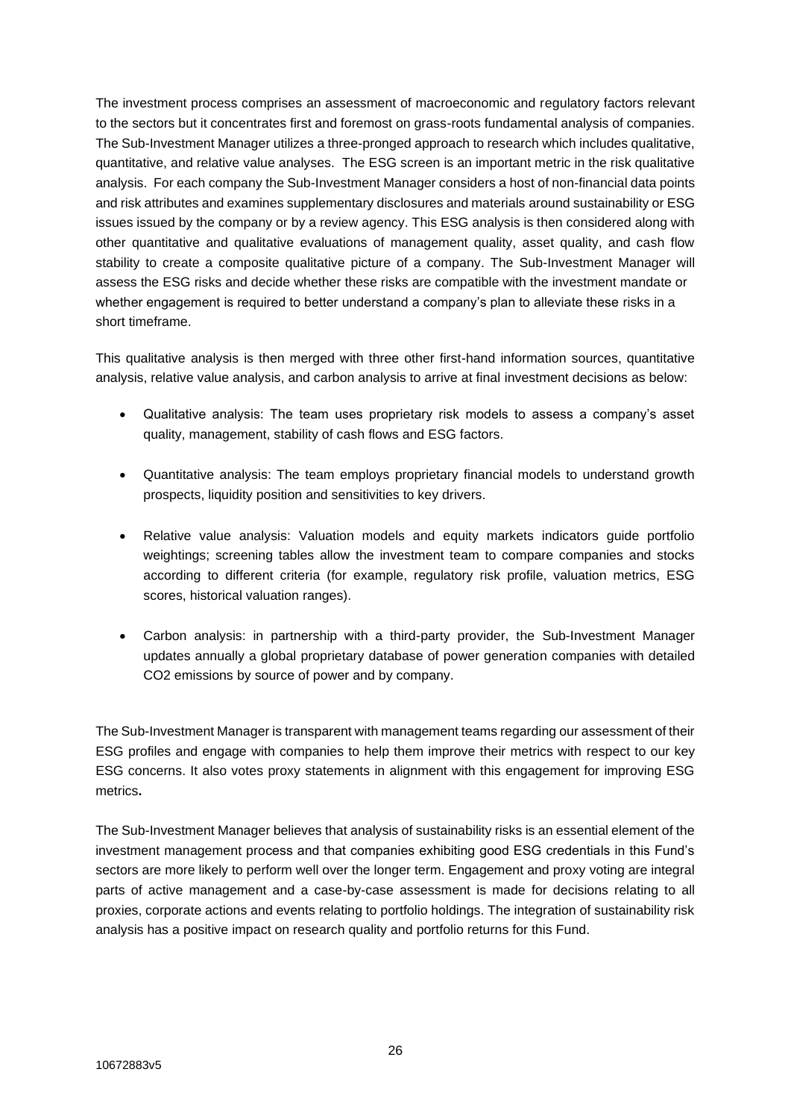The investment process comprises an assessment of macroeconomic and regulatory factors relevant to the sectors but it concentrates first and foremost on grass-roots fundamental analysis of companies. The Sub-Investment Manager utilizes a three-pronged approach to research which includes qualitative, quantitative, and relative value analyses. The ESG screen is an important metric in the risk qualitative analysis. For each company the Sub-Investment Manager considers a host of non-financial data points and risk attributes and examines supplementary disclosures and materials around sustainability or ESG issues issued by the company or by a review agency. This ESG analysis is then considered along with other quantitative and qualitative evaluations of management quality, asset quality, and cash flow stability to create a composite qualitative picture of a company. The Sub-Investment Manager will assess the ESG risks and decide whether these risks are compatible with the investment mandate or whether engagement is required to better understand a company's plan to alleviate these risks in a short timeframe.

This qualitative analysis is then merged with three other first-hand information sources, quantitative analysis, relative value analysis, and carbon analysis to arrive at final investment decisions as below:

- Qualitative analysis: The team uses proprietary risk models to assess a company's asset quality, management, stability of cash flows and ESG factors.
- Quantitative analysis: The team employs proprietary financial models to understand growth prospects, liquidity position and sensitivities to key drivers.
- Relative value analysis: Valuation models and equity markets indicators guide portfolio weightings; screening tables allow the investment team to compare companies and stocks according to different criteria (for example, regulatory risk profile, valuation metrics, ESG scores, historical valuation ranges).
- Carbon analysis: in partnership with a third-party provider, the Sub-Investment Manager updates annually a global proprietary database of power generation companies with detailed CO2 emissions by source of power and by company.

The Sub-Investment Manager is transparent with management teams regarding our assessment of their ESG profiles and engage with companies to help them improve their metrics with respect to our key ESG concerns. It also votes proxy statements in alignment with this engagement for improving ESG metrics**.**

The Sub-Investment Manager believes that analysis of sustainability risks is an essential element of the investment management process and that companies exhibiting good ESG credentials in this Fund's sectors are more likely to perform well over the longer term. Engagement and proxy voting are integral parts of active management and a case-by-case assessment is made for decisions relating to all proxies, corporate actions and events relating to portfolio holdings. The integration of sustainability risk analysis has a positive impact on research quality and portfolio returns for this Fund.